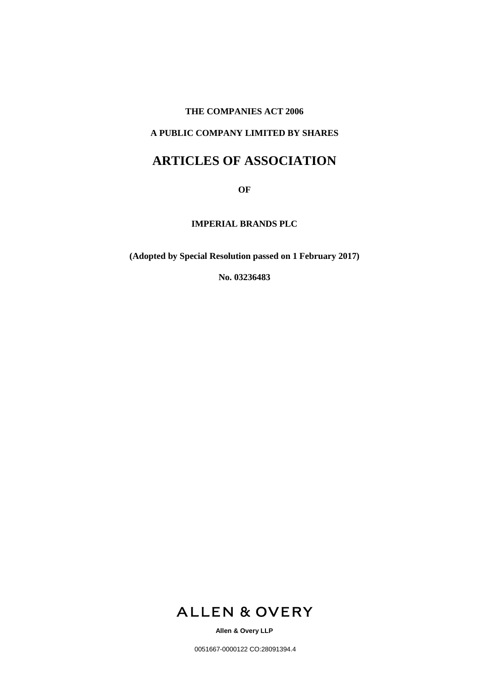#### **THE COMPANIES ACT 2006**

# **A PUBLIC COMPANY LIMITED BY SHARES**

# **ARTICLES OF ASSOCIATION**

**OF**

**IMPERIAL BRANDS PLC** 

**(Adopted by Special Resolution passed on 1 February 2017)**

**No. 03236483**



**Allen & Overy LLP**

0051667-0000122 CO:28091394.4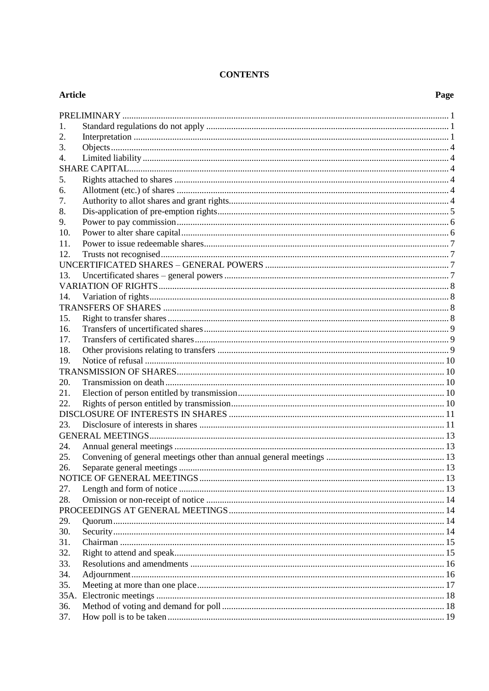# **CONTENTS**

# **Article**

| 1.   |  |  |  |  |  |
|------|--|--|--|--|--|
| 2.   |  |  |  |  |  |
| 3.   |  |  |  |  |  |
| 4.   |  |  |  |  |  |
|      |  |  |  |  |  |
| 5.   |  |  |  |  |  |
| 6.   |  |  |  |  |  |
| 7.   |  |  |  |  |  |
| 8.   |  |  |  |  |  |
| 9.   |  |  |  |  |  |
| 10.  |  |  |  |  |  |
| 11.  |  |  |  |  |  |
| 12.  |  |  |  |  |  |
|      |  |  |  |  |  |
| 13.  |  |  |  |  |  |
|      |  |  |  |  |  |
| 14.  |  |  |  |  |  |
|      |  |  |  |  |  |
| 15.  |  |  |  |  |  |
| 16.  |  |  |  |  |  |
| 17.  |  |  |  |  |  |
| 18.  |  |  |  |  |  |
| 19.  |  |  |  |  |  |
|      |  |  |  |  |  |
| 20.  |  |  |  |  |  |
| 21.  |  |  |  |  |  |
| 22.  |  |  |  |  |  |
|      |  |  |  |  |  |
| 23.  |  |  |  |  |  |
|      |  |  |  |  |  |
| 24.  |  |  |  |  |  |
| 25.  |  |  |  |  |  |
| 26.  |  |  |  |  |  |
|      |  |  |  |  |  |
| 27.  |  |  |  |  |  |
| 28.  |  |  |  |  |  |
|      |  |  |  |  |  |
| 29.  |  |  |  |  |  |
| 30.  |  |  |  |  |  |
| 31.  |  |  |  |  |  |
| 32.  |  |  |  |  |  |
| 33.  |  |  |  |  |  |
| 34.  |  |  |  |  |  |
| 35.  |  |  |  |  |  |
| 35A. |  |  |  |  |  |
| 36.  |  |  |  |  |  |
| 37.  |  |  |  |  |  |
|      |  |  |  |  |  |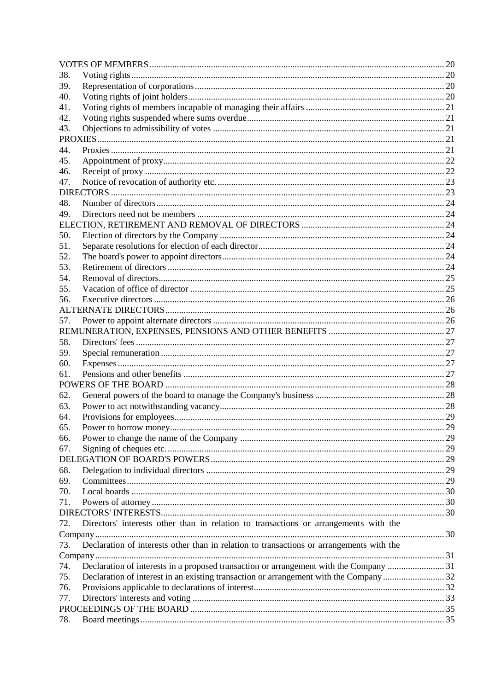| 38. |                                                                                          |  |
|-----|------------------------------------------------------------------------------------------|--|
| 39. |                                                                                          |  |
| 40. |                                                                                          |  |
| 41. |                                                                                          |  |
| 42. |                                                                                          |  |
| 43. |                                                                                          |  |
|     |                                                                                          |  |
| 44. |                                                                                          |  |
| 45. |                                                                                          |  |
| 46. |                                                                                          |  |
| 47. |                                                                                          |  |
|     |                                                                                          |  |
| 48. |                                                                                          |  |
| 49. |                                                                                          |  |
|     |                                                                                          |  |
| 50. |                                                                                          |  |
| 51. |                                                                                          |  |
| 52. |                                                                                          |  |
| 53. |                                                                                          |  |
| 54. |                                                                                          |  |
| 55. |                                                                                          |  |
| 56. |                                                                                          |  |
|     |                                                                                          |  |
| 57. |                                                                                          |  |
|     |                                                                                          |  |
| 58. |                                                                                          |  |
| 59. |                                                                                          |  |
| 60. |                                                                                          |  |
| 61. |                                                                                          |  |
|     |                                                                                          |  |
| 62. |                                                                                          |  |
| 63. |                                                                                          |  |
| 64. |                                                                                          |  |
| 65. |                                                                                          |  |
| 66. |                                                                                          |  |
| 67. |                                                                                          |  |
|     |                                                                                          |  |
| 68. |                                                                                          |  |
| 69. |                                                                                          |  |
| 70. |                                                                                          |  |
| 71. |                                                                                          |  |
|     |                                                                                          |  |
| 72. | Directors' interests other than in relation to transactions or arrangements with the     |  |
|     |                                                                                          |  |
| 73. | Declaration of interests other than in relation to transactions or arrangements with the |  |
|     |                                                                                          |  |
| 74. |                                                                                          |  |
| 75. |                                                                                          |  |
| 76. |                                                                                          |  |
| 77. |                                                                                          |  |
|     |                                                                                          |  |
| 78. |                                                                                          |  |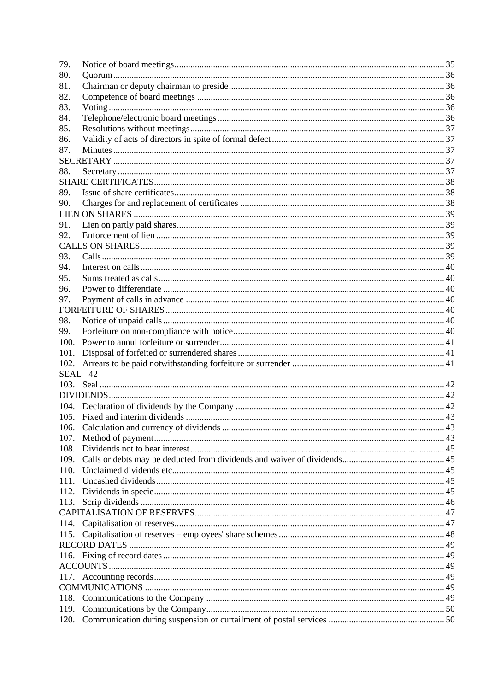| 79.     |  |
|---------|--|
| 80.     |  |
| 81.     |  |
| 82.     |  |
| 83.     |  |
| 84.     |  |
| 85.     |  |
| 86.     |  |
| 87.     |  |
|         |  |
| 88.     |  |
|         |  |
| 89.     |  |
| 90.     |  |
|         |  |
| 91.     |  |
| 92.     |  |
|         |  |
| 93.     |  |
| 94.     |  |
| 95.     |  |
| 96.     |  |
| 97.     |  |
|         |  |
| 98.     |  |
| 99.     |  |
| 100.    |  |
| 101.    |  |
| 102.    |  |
| SEAL 42 |  |
|         |  |
|         |  |
|         |  |
|         |  |
|         |  |
|         |  |
| 108.    |  |
| 109.    |  |
| 110.    |  |
| 111.    |  |
| 112.    |  |
| 113.    |  |
|         |  |
| 114.    |  |
|         |  |
|         |  |
|         |  |
|         |  |
|         |  |
|         |  |
|         |  |
|         |  |
|         |  |
|         |  |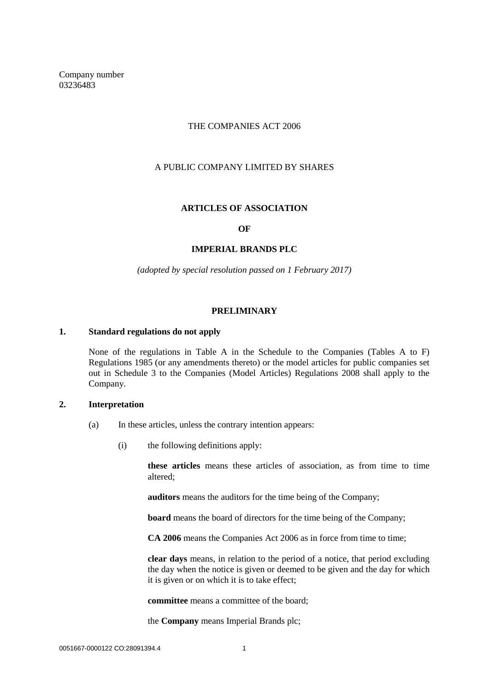Company number 03236483

## THE COMPANIES ACT 2006

# A PUBLIC COMPANY LIMITED BY SHARES

#### **ARTICLES OF ASSOCIATION**

#### **OF**

#### **IMPERIAL BRANDS PLC**

*(adopted by special resolution passed on 1 February 2017)*

#### **PRELIMINARY**

#### <span id="page-5-1"></span><span id="page-5-0"></span>**1. Standard regulations do not apply**

None of the regulations in Table A in the Schedule to the Companies (Tables A to F) Regulations 1985 (or any amendments thereto) or the model articles for public companies set out in Schedule 3 to the Companies (Model Articles) Regulations 2008 shall apply to the Company.

#### <span id="page-5-2"></span>**2. Interpretation**

- (a) In these articles, unless the contrary intention appears:
	- (i) the following definitions apply:

**these articles** means these articles of association, as from time to time altered;

**auditors** means the auditors for the time being of the Company;

**board** means the board of directors for the time being of the Company;

**CA 2006** means the Companies Act 2006 as in force from time to time;

**clear days** means, in relation to the period of a notice, that period excluding the day when the notice is given or deemed to be given and the day for which it is given or on which it is to take effect;

**committee** means a committee of the board;

the **Company** means Imperial Brands plc;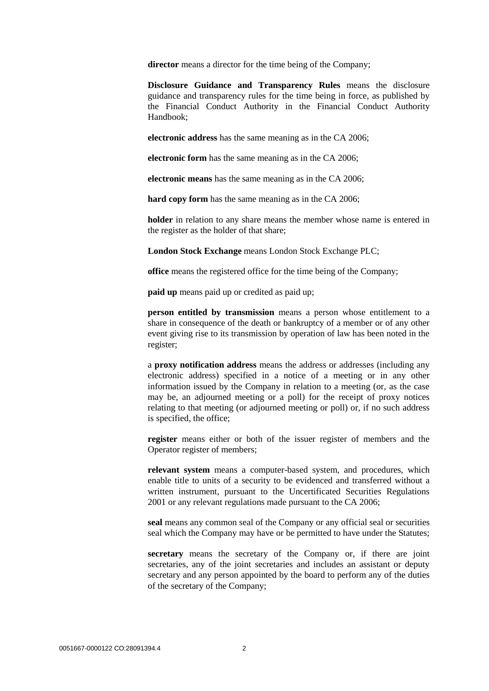**director** means a director for the time being of the Company;

**Disclosure Guidance and Transparency Rules** means the disclosure guidance and transparency rules for the time being in force, as published by the Financial Conduct Authority in the Financial Conduct Authority Handbook;

**electronic address** has the same meaning as in the CA 2006;

**electronic form** has the same meaning as in the CA 2006;

**electronic means** has the same meaning as in the CA 2006;

**hard copy form** has the same meaning as in the CA 2006;

**holder** in relation to any share means the member whose name is entered in the register as the holder of that share;

**London Stock Exchange** means London Stock Exchange PLC;

**office** means the registered office for the time being of the Company;

**paid up** means paid up or credited as paid up;

**person entitled by transmission** means a person whose entitlement to a share in consequence of the death or bankruptcy of a member or of any other event giving rise to its transmission by operation of law has been noted in the register;

a **proxy notification address** means the address or addresses (including any electronic address) specified in a notice of a meeting or in any other information issued by the Company in relation to a meeting (or, as the case may be, an adjourned meeting or a poll) for the receipt of proxy notices relating to that meeting (or adjourned meeting or poll) or, if no such address is specified, the office;

**register** means either or both of the issuer register of members and the Operator register of members;

**relevant system** means a computer-based system, and procedures, which enable title to units of a security to be evidenced and transferred without a written instrument, pursuant to the Uncertificated Securities Regulations 2001 or any relevant regulations made pursuant to the CA 2006;

**seal** means any common seal of the Company or any official seal or securities seal which the Company may have or be permitted to have under the Statutes;

**secretary** means the secretary of the Company or, if there are joint secretaries, any of the joint secretaries and includes an assistant or deputy secretary and any person appointed by the board to perform any of the duties of the secretary of the Company;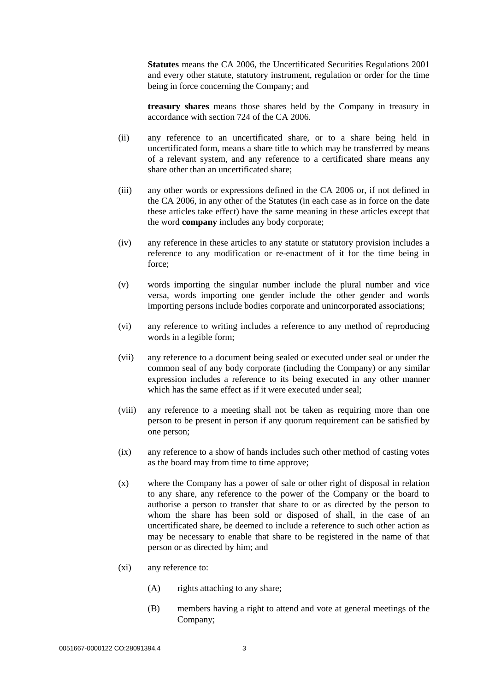**Statutes** means the CA 2006, the Uncertificated Securities Regulations 2001 and every other statute, statutory instrument, regulation or order for the time being in force concerning the Company; and

**treasury shares** means those shares held by the Company in treasury in accordance with section 724 of the CA 2006.

- (ii) any reference to an uncertificated share, or to a share being held in uncertificated form, means a share title to which may be transferred by means of a relevant system, and any reference to a certificated share means any share other than an uncertificated share;
- (iii) any other words or expressions defined in the CA 2006 or, if not defined in the CA 2006, in any other of the Statutes (in each case as in force on the date these articles take effect) have the same meaning in these articles except that the word **company** includes any body corporate;
- (iv) any reference in these articles to any statute or statutory provision includes a reference to any modification or re-enactment of it for the time being in force;
- (v) words importing the singular number include the plural number and vice versa, words importing one gender include the other gender and words importing persons include bodies corporate and unincorporated associations;
- (vi) any reference to writing includes a reference to any method of reproducing words in a legible form;
- (vii) any reference to a document being sealed or executed under seal or under the common seal of any body corporate (including the Company) or any similar expression includes a reference to its being executed in any other manner which has the same effect as if it were executed under seal;
- (viii) any reference to a meeting shall not be taken as requiring more than one person to be present in person if any quorum requirement can be satisfied by one person;
- (ix) any reference to a show of hands includes such other method of casting votes as the board may from time to time approve;
- (x) where the Company has a power of sale or other right of disposal in relation to any share, any reference to the power of the Company or the board to authorise a person to transfer that share to or as directed by the person to whom the share has been sold or disposed of shall, in the case of an uncertificated share, be deemed to include a reference to such other action as may be necessary to enable that share to be registered in the name of that person or as directed by him; and
- (xi) any reference to:
	- (A) rights attaching to any share;
	- (B) members having a right to attend and vote at general meetings of the Company;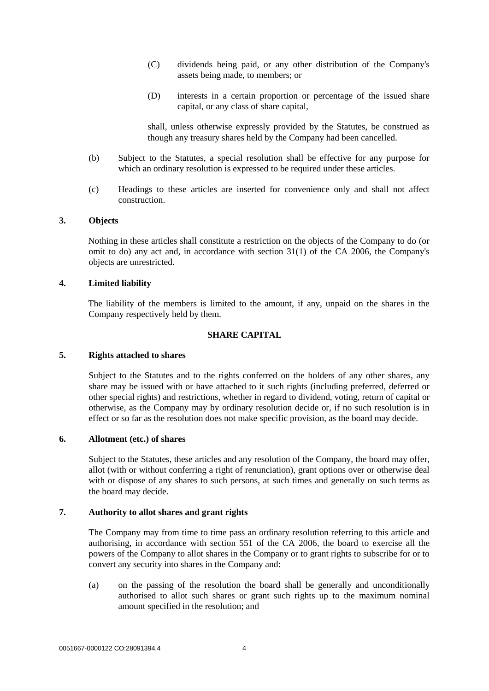- (C) dividends being paid, or any other distribution of the Company's assets being made, to members; or
- (D) interests in a certain proportion or percentage of the issued share capital, or any class of share capital,

shall, unless otherwise expressly provided by the Statutes, be construed as though any treasury shares held by the Company had been cancelled.

- (b) Subject to the Statutes, a special resolution shall be effective for any purpose for which an ordinary resolution is expressed to be required under these articles.
- (c) Headings to these articles are inserted for convenience only and shall not affect construction.

# <span id="page-8-0"></span>**3. Objects**

Nothing in these articles shall constitute a restriction on the objects of the Company to do (or omit to do) any act and, in accordance with section 31(1) of the CA 2006, the Company's objects are unrestricted.

#### <span id="page-8-1"></span>**4. Limited liability**

The liability of the members is limited to the amount, if any, unpaid on the shares in the Company respectively held by them.

#### **SHARE CAPITAL**

#### <span id="page-8-3"></span><span id="page-8-2"></span>**5. Rights attached to shares**

Subject to the Statutes and to the rights conferred on the holders of any other shares, any share may be issued with or have attached to it such rights (including preferred, deferred or other special rights) and restrictions, whether in regard to dividend, voting, return of capital or otherwise, as the Company may by ordinary resolution decide or, if no such resolution is in effect or so far as the resolution does not make specific provision, as the board may decide.

#### <span id="page-8-4"></span>**6. Allotment (etc.) of shares**

Subject to the Statutes, these articles and any resolution of the Company, the board may offer, allot (with or without conferring a right of renunciation), grant options over or otherwise deal with or dispose of any shares to such persons, at such times and generally on such terms as the board may decide.

# <span id="page-8-5"></span>**7. Authority to allot shares and grant rights**

The Company may from time to time pass an ordinary resolution referring to this article and authorising, in accordance with section 551 of the CA 2006, the board to exercise all the powers of the Company to allot shares in the Company or to grant rights to subscribe for or to convert any security into shares in the Company and:

(a) on the passing of the resolution the board shall be generally and unconditionally authorised to allot such shares or grant such rights up to the maximum nominal amount specified in the resolution; and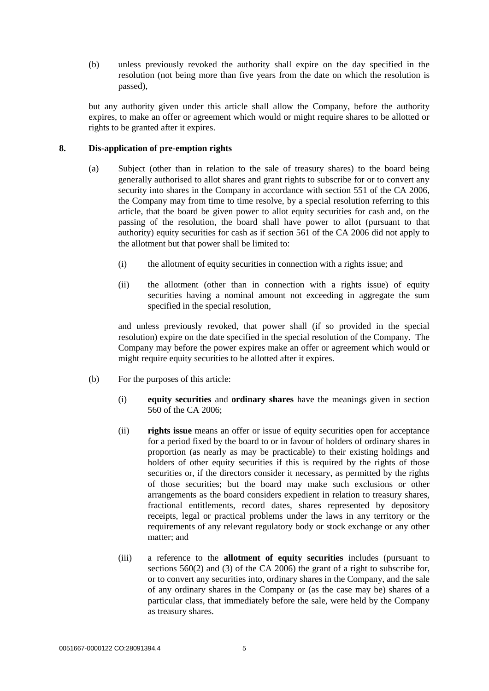(b) unless previously revoked the authority shall expire on the day specified in the resolution (not being more than five years from the date on which the resolution is passed),

but any authority given under this article shall allow the Company, before the authority expires, to make an offer or agreement which would or might require shares to be allotted or rights to be granted after it expires.

## <span id="page-9-0"></span>**8. Dis-application of pre-emption rights**

- (a) Subject (other than in relation to the sale of treasury shares) to the board being generally authorised to allot shares and grant rights to subscribe for or to convert any security into shares in the Company in accordance with section 551 of the CA 2006, the Company may from time to time resolve, by a special resolution referring to this article, that the board be given power to allot equity securities for cash and, on the passing of the resolution, the board shall have power to allot (pursuant to that authority) equity securities for cash as if section 561 of the CA 2006 did not apply to the allotment but that power shall be limited to:
	- (i) the allotment of equity securities in connection with a rights issue; and
	- (ii) the allotment (other than in connection with a rights issue) of equity securities having a nominal amount not exceeding in aggregate the sum specified in the special resolution,

and unless previously revoked, that power shall (if so provided in the special resolution) expire on the date specified in the special resolution of the Company. The Company may before the power expires make an offer or agreement which would or might require equity securities to be allotted after it expires.

- (b) For the purposes of this article:
	- (i) **equity securities** and **ordinary shares** have the meanings given in section 560 of the CA 2006;
	- (ii) **rights issue** means an offer or issue of equity securities open for acceptance for a period fixed by the board to or in favour of holders of ordinary shares in proportion (as nearly as may be practicable) to their existing holdings and holders of other equity securities if this is required by the rights of those securities or, if the directors consider it necessary, as permitted by the rights of those securities; but the board may make such exclusions or other arrangements as the board considers expedient in relation to treasury shares, fractional entitlements, record dates, shares represented by depository receipts, legal or practical problems under the laws in any territory or the requirements of any relevant regulatory body or stock exchange or any other matter; and
	- (iii) a reference to the **allotment of equity securities** includes (pursuant to sections 560(2) and (3) of the CA 2006) the grant of a right to subscribe for, or to convert any securities into, ordinary shares in the Company, and the sale of any ordinary shares in the Company or (as the case may be) shares of a particular class, that immediately before the sale, were held by the Company as treasury shares.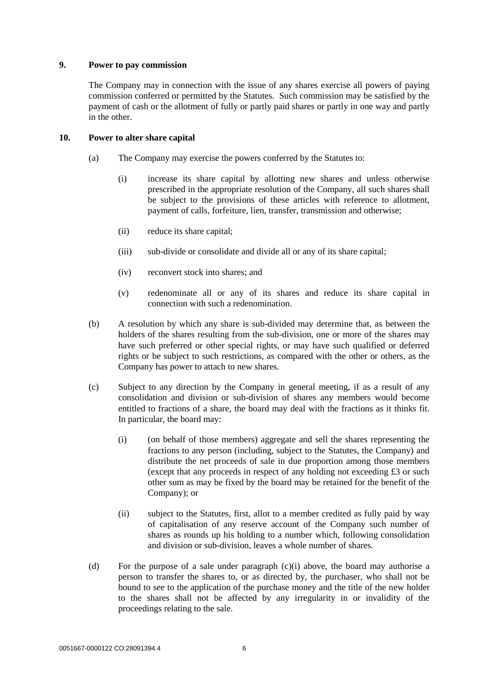#### <span id="page-10-0"></span>**9. Power to pay commission**

The Company may in connection with the issue of any shares exercise all powers of paying commission conferred or permitted by the Statutes. Such commission may be satisfied by the payment of cash or the allotment of fully or partly paid shares or partly in one way and partly in the other.

## <span id="page-10-1"></span>**10. Power to alter share capital**

- (a) The Company may exercise the powers conferred by the Statutes to:
	- (i) increase its share capital by allotting new shares and unless otherwise prescribed in the appropriate resolution of the Company, all such shares shall be subject to the provisions of these articles with reference to allotment, payment of calls, forfeiture, lien, transfer, transmission and otherwise;
	- (ii) reduce its share capital;
	- (iii) sub-divide or consolidate and divide all or any of its share capital;
	- (iv) reconvert stock into shares; and
	- (v) redenominate all or any of its shares and reduce its share capital in connection with such a redenomination.
- (b) A resolution by which any share is sub-divided may determine that, as between the holders of the shares resulting from the sub-division, one or more of the shares may have such preferred or other special rights, or may have such qualified or deferred rights or be subject to such restrictions, as compared with the other or others, as the Company has power to attach to new shares.
- <span id="page-10-2"></span>(c) Subject to any direction by the Company in general meeting, if as a result of any consolidation and division or sub-division of shares any members would become entitled to fractions of a share, the board may deal with the fractions as it thinks fit. In particular, the board may:
	- (i) (on behalf of those members) aggregate and sell the shares representing the fractions to any person (including, subject to the Statutes, the Company) and distribute the net proceeds of sale in due proportion among those members (except that any proceeds in respect of any holding not exceeding £3 or such other sum as may be fixed by the board may be retained for the benefit of the Company); or
	- (ii) subject to the Statutes, first, allot to a member credited as fully paid by way of capitalisation of any reserve account of the Company such number of shares as rounds up his holding to a number which, following consolidation and division or sub-division, leaves a whole number of shares.
- (d) For the purpose of a sale under paragraph [\(c\)\(i\) above,](#page-10-2) the board may authorise a person to transfer the shares to, or as directed by, the purchaser, who shall not be bound to see to the application of the purchase money and the title of the new holder to the shares shall not be affected by any irregularity in or invalidity of the proceedings relating to the sale.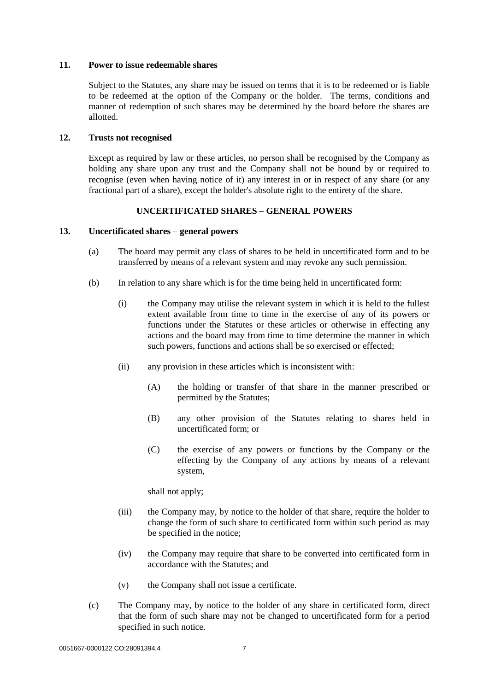#### <span id="page-11-0"></span>**11. Power to issue redeemable shares**

Subject to the Statutes, any share may be issued on terms that it is to be redeemed or is liable to be redeemed at the option of the Company or the holder. The terms, conditions and manner of redemption of such shares may be determined by the board before the shares are allotted.

#### <span id="page-11-1"></span>**12. Trusts not recognised**

Except as required by law or these articles, no person shall be recognised by the Company as holding any share upon any trust and the Company shall not be bound by or required to recognise (even when having notice of it) any interest in or in respect of any share (or any fractional part of a share), except the holder's absolute right to the entirety of the share.

# **UNCERTIFICATED SHARES – GENERAL POWERS**

## <span id="page-11-4"></span><span id="page-11-3"></span><span id="page-11-2"></span>**13. Uncertificated shares – general powers**

- (a) The board may permit any class of shares to be held in uncertificated form and to be transferred by means of a relevant system and may revoke any such permission.
- (b) In relation to any share which is for the time being held in uncertificated form:
	- (i) the Company may utilise the relevant system in which it is held to the fullest extent available from time to time in the exercise of any of its powers or functions under the Statutes or these articles or otherwise in effecting any actions and the board may from time to time determine the manner in which such powers, functions and actions shall be so exercised or effected;
	- (ii) any provision in these articles which is inconsistent with:
		- (A) the holding or transfer of that share in the manner prescribed or permitted by the Statutes;
		- (B) any other provision of the Statutes relating to shares held in uncertificated form; or
		- (C) the exercise of any powers or functions by the Company or the effecting by the Company of any actions by means of a relevant system,

shall not apply;

- (iii) the Company may, by notice to the holder of that share, require the holder to change the form of such share to certificated form within such period as may be specified in the notice;
- (iv) the Company may require that share to be converted into certificated form in accordance with the Statutes; and
- (v) the Company shall not issue a certificate.
- (c) The Company may, by notice to the holder of any share in certificated form, direct that the form of such share may not be changed to uncertificated form for a period specified in such notice.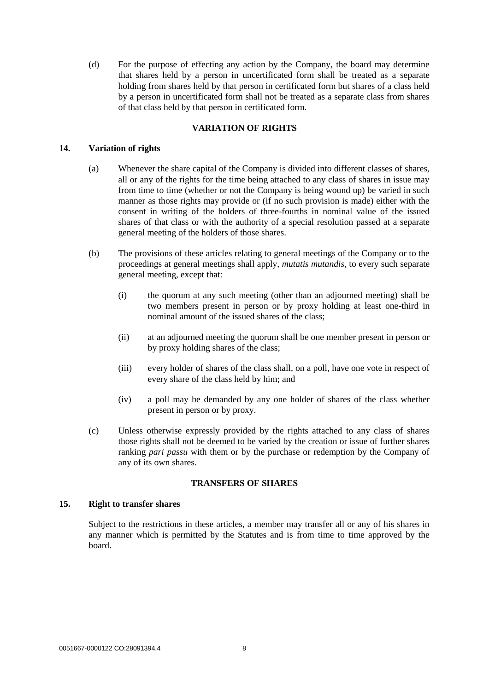(d) For the purpose of effecting any action by the Company, the board may determine that shares held by a person in uncertificated form shall be treated as a separate holding from shares held by that person in certificated form but shares of a class held by a person in uncertificated form shall not be treated as a separate class from shares of that class held by that person in certificated form.

# **VARIATION OF RIGHTS**

# <span id="page-12-1"></span><span id="page-12-0"></span>**14. Variation of rights**

- (a) Whenever the share capital of the Company is divided into different classes of shares, all or any of the rights for the time being attached to any class of shares in issue may from time to time (whether or not the Company is being wound up) be varied in such manner as those rights may provide or (if no such provision is made) either with the consent in writing of the holders of three-fourths in nominal value of the issued shares of that class or with the authority of a special resolution passed at a separate general meeting of the holders of those shares.
- (b) The provisions of these articles relating to general meetings of the Company or to the proceedings at general meetings shall apply, *mutatis mutandis*, to every such separate general meeting, except that:
	- (i) the quorum at any such meeting (other than an adjourned meeting) shall be two members present in person or by proxy holding at least one-third in nominal amount of the issued shares of the class;
	- (ii) at an adjourned meeting the quorum shall be one member present in person or by proxy holding shares of the class;
	- (iii) every holder of shares of the class shall, on a poll, have one vote in respect of every share of the class held by him; and
	- (iv) a poll may be demanded by any one holder of shares of the class whether present in person or by proxy.
- (c) Unless otherwise expressly provided by the rights attached to any class of shares those rights shall not be deemed to be varied by the creation or issue of further shares ranking *pari passu* with them or by the purchase or redemption by the Company of any of its own shares.

# **TRANSFERS OF SHARES**

## <span id="page-12-3"></span><span id="page-12-2"></span>**15. Right to transfer shares**

Subject to the restrictions in these articles, a member may transfer all or any of his shares in any manner which is permitted by the Statutes and is from time to time approved by the board.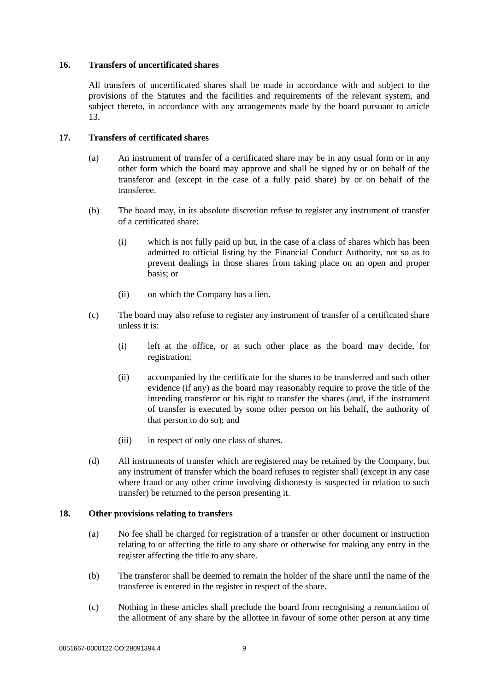## <span id="page-13-0"></span>**16. Transfers of uncertificated shares**

All transfers of uncertificated shares shall be made in accordance with and subject to the provisions of the Statutes and the facilities and requirements of the relevant system, and subject thereto, in accordance with any arrangements made by the board pursuant to article [13.](#page-11-4)

## <span id="page-13-1"></span>**17. Transfers of certificated shares**

- (a) An instrument of transfer of a certificated share may be in any usual form or in any other form which the board may approve and shall be signed by or on behalf of the transferor and (except in the case of a fully paid share) by or on behalf of the transferee.
- (b) The board may, in its absolute discretion refuse to register any instrument of transfer of a certificated share:
	- (i) which is not fully paid up but, in the case of a class of shares which has been admitted to official listing by the Financial Conduct Authority, not so as to prevent dealings in those shares from taking place on an open and proper basis; or
	- (ii) on which the Company has a lien.
- (c) The board may also refuse to register any instrument of transfer of a certificated share unless it is:
	- (i) left at the office, or at such other place as the board may decide, for registration;
	- (ii) accompanied by the certificate for the shares to be transferred and such other evidence (if any) as the board may reasonably require to prove the title of the intending transferor or his right to transfer the shares (and, if the instrument of transfer is executed by some other person on his behalf, the authority of that person to do so); and
	- (iii) in respect of only one class of shares.
- (d) All instruments of transfer which are registered may be retained by the Company, but any instrument of transfer which the board refuses to register shall (except in any case where fraud or any other crime involving dishonesty is suspected in relation to such transfer) be returned to the person presenting it.

## <span id="page-13-2"></span>**18. Other provisions relating to transfers**

- (a) No fee shall be charged for registration of a transfer or other document or instruction relating to or affecting the title to any share or otherwise for making any entry in the register affecting the title to any share.
- (b) The transferor shall be deemed to remain the holder of the share until the name of the transferee is entered in the register in respect of the share.
- (c) Nothing in these articles shall preclude the board from recognising a renunciation of the allotment of any share by the allottee in favour of some other person at any time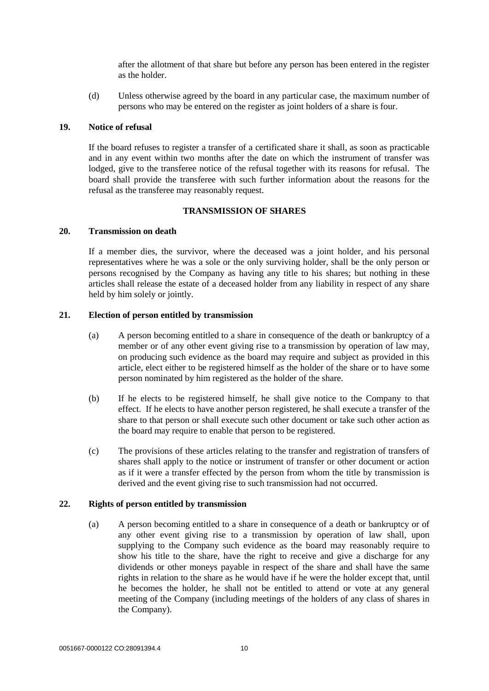after the allotment of that share but before any person has been entered in the register as the holder.

(d) Unless otherwise agreed by the board in any particular case, the maximum number of persons who may be entered on the register as joint holders of a share is four.

#### <span id="page-14-0"></span>**19. Notice of refusal**

If the board refuses to register a transfer of a certificated share it shall, as soon as practicable and in any event within two months after the date on which the instrument of transfer was lodged, give to the transferee notice of the refusal together with its reasons for refusal. The board shall provide the transferee with such further information about the reasons for the refusal as the transferee may reasonably request.

# **TRANSMISSION OF SHARES**

#### <span id="page-14-2"></span><span id="page-14-1"></span>**20. Transmission on death**

If a member dies, the survivor, where the deceased was a joint holder, and his personal representatives where he was a sole or the only surviving holder, shall be the only person or persons recognised by the Company as having any title to his shares; but nothing in these articles shall release the estate of a deceased holder from any liability in respect of any share held by him solely or jointly.

#### <span id="page-14-3"></span>**21. Election of person entitled by transmission**

- (a) A person becoming entitled to a share in consequence of the death or bankruptcy of a member or of any other event giving rise to a transmission by operation of law may, on producing such evidence as the board may require and subject as provided in this article, elect either to be registered himself as the holder of the share or to have some person nominated by him registered as the holder of the share.
- (b) If he elects to be registered himself, he shall give notice to the Company to that effect. If he elects to have another person registered, he shall execute a transfer of the share to that person or shall execute such other document or take such other action as the board may require to enable that person to be registered.
- (c) The provisions of these articles relating to the transfer and registration of transfers of shares shall apply to the notice or instrument of transfer or other document or action as if it were a transfer effected by the person from whom the title by transmission is derived and the event giving rise to such transmission had not occurred.

#### <span id="page-14-4"></span>**22. Rights of person entitled by transmission**

(a) A person becoming entitled to a share in consequence of a death or bankruptcy or of any other event giving rise to a transmission by operation of law shall, upon supplying to the Company such evidence as the board may reasonably require to show his title to the share, have the right to receive and give a discharge for any dividends or other moneys payable in respect of the share and shall have the same rights in relation to the share as he would have if he were the holder except that, until he becomes the holder, he shall not be entitled to attend or vote at any general meeting of the Company (including meetings of the holders of any class of shares in the Company).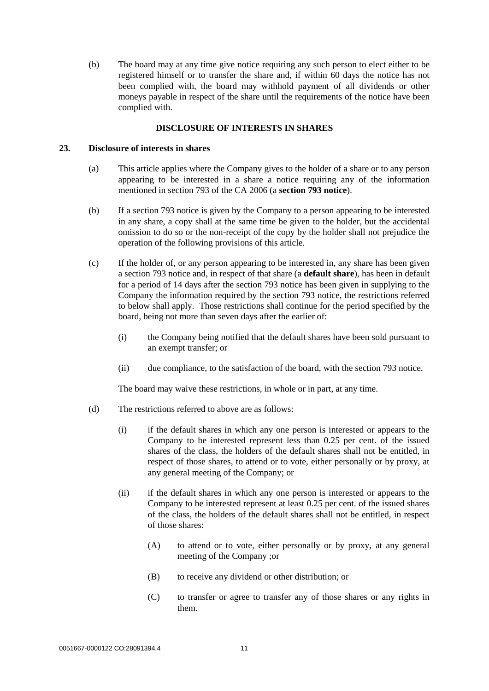(b) The board may at any time give notice requiring any such person to elect either to be registered himself or to transfer the share and, if within 60 days the notice has not been complied with, the board may withhold payment of all dividends or other moneys payable in respect of the share until the requirements of the notice have been complied with.

## **DISCLOSURE OF INTERESTS IN SHARES**

#### <span id="page-15-1"></span><span id="page-15-0"></span>**23. Disclosure of interests in shares**

- (a) This article applies where the Company gives to the holder of a share or to any person appearing to be interested in a share a notice requiring any of the information mentioned in section 793 of the CA 2006 (a **section 793 notice**).
- (b) If a section 793 notice is given by the Company to a person appearing to be interested in any share, a copy shall at the same time be given to the holder, but the accidental omission to do so or the non-receipt of the copy by the holder shall not prejudice the operation of the following provisions of this article.
- (c) If the holder of, or any person appearing to be interested in, any share has been given a section 793 notice and, in respect of that share (a **default share**), has been in default for a period of 14 days after the section 793 notice has been given in supplying to the Company the information required by the section 793 notice, the restrictions referred to below shall apply. Those restrictions shall continue for the period specified by the board, being not more than seven days after the earlier of:
	- (i) the Company being notified that the default shares have been sold pursuant to an exempt transfer; or
	- (ii) due compliance, to the satisfaction of the board, with the section 793 notice.

The board may waive these restrictions, in whole or in part, at any time.

- <span id="page-15-4"></span><span id="page-15-3"></span><span id="page-15-2"></span>(d) The restrictions referred to above are as follows:
	- (i) if the default shares in which any one person is interested or appears to the Company to be interested represent less than 0.25 per cent. of the issued shares of the class, the holders of the default shares shall not be entitled, in respect of those shares, to attend or to vote, either personally or by proxy, at any general meeting of the Company; or
	- (ii) if the default shares in which any one person is interested or appears to the Company to be interested represent at least 0.25 per cent. of the issued shares of the class, the holders of the default shares shall not be entitled, in respect of those shares:
		- (A) to attend or to vote, either personally or by proxy, at any general meeting of the Company ;or
		- (B) to receive any dividend or other distribution; or
		- (C) to transfer or agree to transfer any of those shares or any rights in them.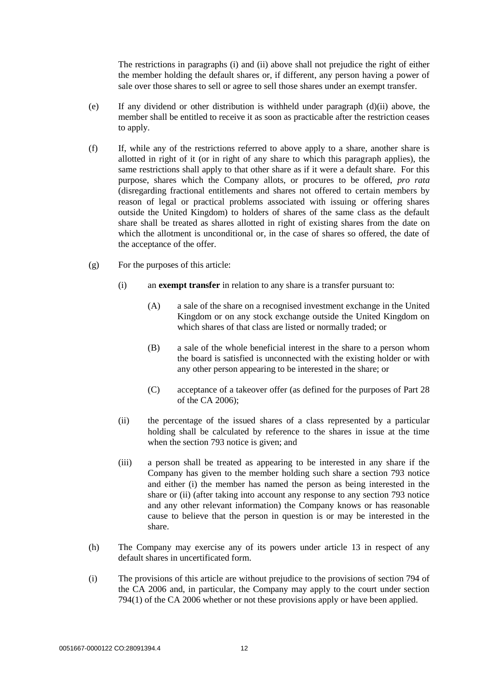The restrictions in paragraphs [\(i\)](#page-15-2) and [\(ii\) above](#page-15-3) shall not prejudice the right of either the member holding the default shares or, if different, any person having a power of sale over those shares to sell or agree to sell those shares under an exempt transfer.

- (e) If any dividend or other distribution is withheld under paragraph  $(d)(ii)$  above, the member shall be entitled to receive it as soon as practicable after the restriction ceases to apply.
- (f) If, while any of the restrictions referred to above apply to a share, another share is allotted in right of it (or in right of any share to which this paragraph applies), the same restrictions shall apply to that other share as if it were a default share. For this purpose, shares which the Company allots, or procures to be offered, *pro rata* (disregarding fractional entitlements and shares not offered to certain members by reason of legal or practical problems associated with issuing or offering shares outside the United Kingdom) to holders of shares of the same class as the default share shall be treated as shares allotted in right of existing shares from the date on which the allotment is unconditional or, in the case of shares so offered, the date of the acceptance of the offer.
- (g) For the purposes of this article:
	- (i) an **exempt transfer** in relation to any share is a transfer pursuant to:
		- (A) a sale of the share on a recognised investment exchange in the United Kingdom or on any stock exchange outside the United Kingdom on which shares of that class are listed or normally traded; or
		- (B) a sale of the whole beneficial interest in the share to a person whom the board is satisfied is unconnected with the existing holder or with any other person appearing to be interested in the share; or
		- (C) acceptance of a takeover offer (as defined for the purposes of Part 28 of the CA 2006);
	- (ii) the percentage of the issued shares of a class represented by a particular holding shall be calculated by reference to the shares in issue at the time when the section 793 notice is given; and
	- (iii) a person shall be treated as appearing to be interested in any share if the Company has given to the member holding such share a section 793 notice and either (i) the member has named the person as being interested in the share or (ii) (after taking into account any response to any section 793 notice and any other relevant information) the Company knows or has reasonable cause to believe that the person in question is or may be interested in the share.
- (h) The Company may exercise any of its powers under article [13](#page-11-4) in respect of any default shares in uncertificated form.
- (i) The provisions of this article are without prejudice to the provisions of section 794 of the CA 2006 and, in particular, the Company may apply to the court under section 794(1) of the CA 2006 whether or not these provisions apply or have been applied.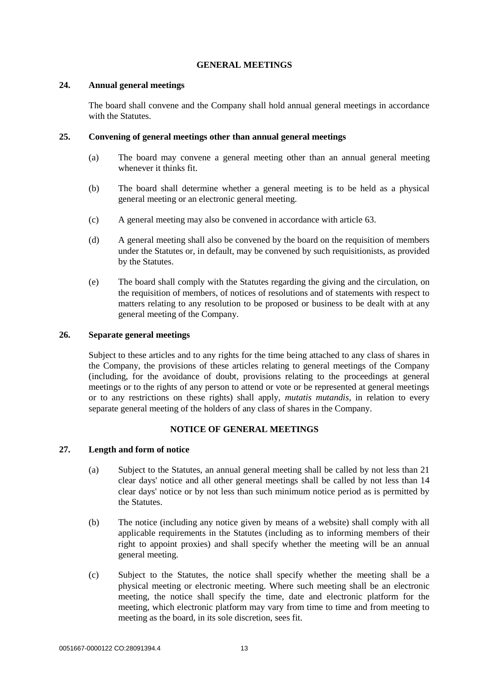# **GENERAL MEETINGS**

#### <span id="page-17-1"></span><span id="page-17-0"></span>**24. Annual general meetings**

The board shall convene and the Company shall hold annual general meetings in accordance with the Statutes.

# <span id="page-17-2"></span>**25. Convening of general meetings other than annual general meetings**

- (a) The board may convene a general meeting other than an annual general meeting whenever it thinks fit.
- (b) The board shall determine whether a general meeting is to be held as a physical general meeting or an electronic general meeting.
- (c) A general meeting may also be convened in accordance with article [63.](#page-32-3)
- (d) A general meeting shall also be convened by the board on the requisition of members under the Statutes or, in default, may be convened by such requisitionists, as provided by the Statutes.
- (e) The board shall comply with the Statutes regarding the giving and the circulation, on the requisition of members, of notices of resolutions and of statements with respect to matters relating to any resolution to be proposed or business to be dealt with at any general meeting of the Company.

## <span id="page-17-3"></span>**26. Separate general meetings**

Subject to these articles and to any rights for the time being attached to any class of shares in the Company, the provisions of these articles relating to general meetings of the Company (including, for the avoidance of doubt, provisions relating to the proceedings at general meetings or to the rights of any person to attend or vote or be represented at general meetings or to any restrictions on these rights) shall apply, *mutatis mutandis*, in relation to every separate general meeting of the holders of any class of shares in the Company.

## **NOTICE OF GENERAL MEETINGS**

## <span id="page-17-7"></span><span id="page-17-6"></span><span id="page-17-5"></span><span id="page-17-4"></span>**27. Length and form of notice**

- (a) Subject to the Statutes, an annual general meeting shall be called by not less than 21 clear days' notice and all other general meetings shall be called by not less than 14 clear days' notice or by not less than such minimum notice period as is permitted by the Statutes.
- (b) The notice (including any notice given by means of a website) shall comply with all applicable requirements in the Statutes (including as to informing members of their right to appoint proxies) and shall specify whether the meeting will be an annual general meeting.
- (c) Subject to the Statutes, the notice shall specify whether the meeting shall be a physical meeting or electronic meeting. Where such meeting shall be an electronic meeting, the notice shall specify the time, date and electronic platform for the meeting, which electronic platform may vary from time to time and from meeting to meeting as the board, in its sole discretion, sees fit.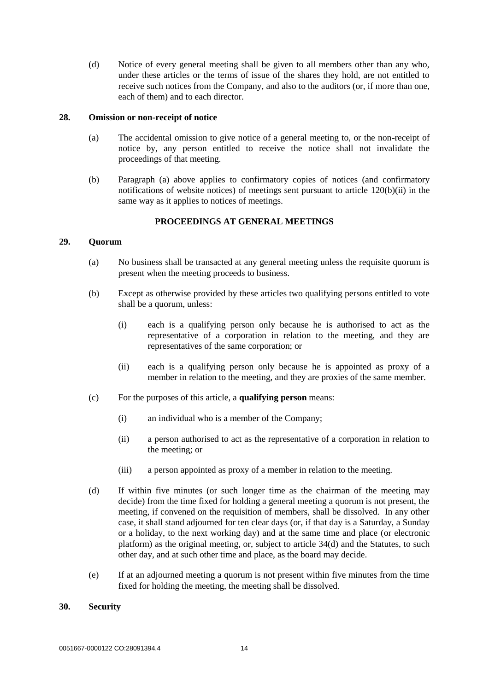(d) Notice of every general meeting shall be given to all members other than any who, under these articles or the terms of issue of the shares they hold, are not entitled to receive such notices from the Company, and also to the auditors (or, if more than one, each of them) and to each director.

#### <span id="page-18-0"></span>**28. Omission or non-receipt of notice**

- (a) The accidental omission to give notice of a general meeting to, or the non-receipt of notice by, any person entitled to receive the notice shall not invalidate the proceedings of that meeting.
- (b) Paragraph [\(a\) above](#page-17-6) applies to confirmatory copies of notices (and confirmatory notifications of website notices) of meetings sent pursuant to article [120\(b\)\(ii\)](#page-54-3) in the same way as it applies to notices of meetings.

# **PROCEEDINGS AT GENERAL MEETINGS**

#### <span id="page-18-4"></span><span id="page-18-2"></span><span id="page-18-1"></span>**29. Quorum**

- (a) No business shall be transacted at any general meeting unless the requisite quorum is present when the meeting proceeds to business.
- (b) Except as otherwise provided by these articles two qualifying persons entitled to vote shall be a quorum, unless:
	- (i) each is a qualifying person only because he is authorised to act as the representative of a corporation in relation to the meeting, and they are representatives of the same corporation; or
	- (ii) each is a qualifying person only because he is appointed as proxy of a member in relation to the meeting, and they are proxies of the same member.
- (c) For the purposes of this article, a **qualifying person** means:
	- (i) an individual who is a member of the Company;
	- (ii) a person authorised to act as the representative of a corporation in relation to the meeting; or
	- (iii) a person appointed as proxy of a member in relation to the meeting.
- (d) If within five minutes (or such longer time as the chairman of the meeting may decide) from the time fixed for holding a general meeting a quorum is not present, the meeting, if convened on the requisition of members, shall be dissolved. In any other case, it shall stand adjourned for ten clear days (or, if that day is a Saturday, a Sunday or a holiday, to the next working day) and at the same time and place (or electronic platform) as the original meeting, or, subject to article [34\(d\)](#page-20-2) and the Statutes, to such other day, and at such other time and place, as the board may decide.
- (e) If at an adjourned meeting a quorum is not present within five minutes from the time fixed for holding the meeting, the meeting shall be dissolved.

#### <span id="page-18-3"></span>**30. Security**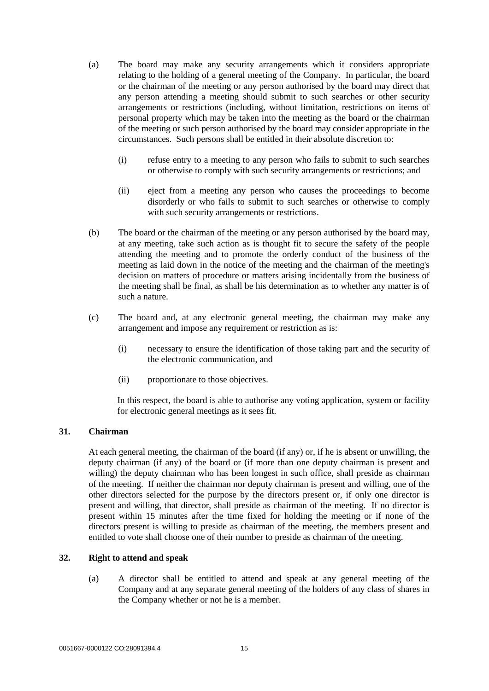- (a) The board may make any security arrangements which it considers appropriate relating to the holding of a general meeting of the Company. In particular, the board or the chairman of the meeting or any person authorised by the board may direct that any person attending a meeting should submit to such searches or other security arrangements or restrictions (including, without limitation, restrictions on items of personal property which may be taken into the meeting as the board or the chairman of the meeting or such person authorised by the board may consider appropriate in the circumstances. Such persons shall be entitled in their absolute discretion to:
	- (i) refuse entry to a meeting to any person who fails to submit to such searches or otherwise to comply with such security arrangements or restrictions; and
	- (ii) eject from a meeting any person who causes the proceedings to become disorderly or who fails to submit to such searches or otherwise to comply with such security arrangements or restrictions.
- (b) The board or the chairman of the meeting or any person authorised by the board may, at any meeting, take such action as is thought fit to secure the safety of the people attending the meeting and to promote the orderly conduct of the business of the meeting as laid down in the notice of the meeting and the chairman of the meeting's decision on matters of procedure or matters arising incidentally from the business of the meeting shall be final, as shall be his determination as to whether any matter is of such a nature.
- (c) The board and, at any electronic general meeting, the chairman may make any arrangement and impose any requirement or restriction as is:
	- (i) necessary to ensure the identification of those taking part and the security of the electronic communication, and
	- (ii) proportionate to those objectives.

In this respect, the board is able to authorise any voting application, system or facility for electronic general meetings as it sees fit.

# <span id="page-19-0"></span>**31. Chairman**

At each general meeting, the chairman of the board (if any) or, if he is absent or unwilling, the deputy chairman (if any) of the board or (if more than one deputy chairman is present and willing) the deputy chairman who has been longest in such office, shall preside as chairman of the meeting. If neither the chairman nor deputy chairman is present and willing, one of the other directors selected for the purpose by the directors present or, if only one director is present and willing, that director, shall preside as chairman of the meeting. If no director is present within 15 minutes after the time fixed for holding the meeting or if none of the directors present is willing to preside as chairman of the meeting, the members present and entitled to vote shall choose one of their number to preside as chairman of the meeting.

# <span id="page-19-1"></span>**32. Right to attend and speak**

(a) A director shall be entitled to attend and speak at any general meeting of the Company and at any separate general meeting of the holders of any class of shares in the Company whether or not he is a member.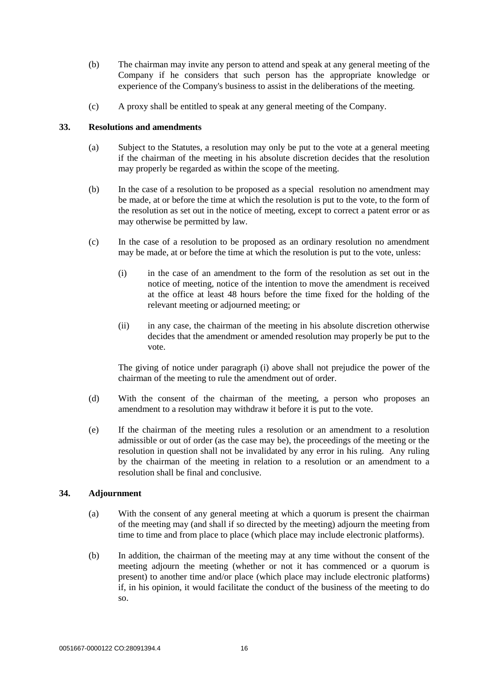- (b) The chairman may invite any person to attend and speak at any general meeting of the Company if he considers that such person has the appropriate knowledge or experience of the Company's business to assist in the deliberations of the meeting.
- (c) A proxy shall be entitled to speak at any general meeting of the Company.

# <span id="page-20-0"></span>**33. Resolutions and amendments**

- (a) Subject to the Statutes, a resolution may only be put to the vote at a general meeting if the chairman of the meeting in his absolute discretion decides that the resolution may properly be regarded as within the scope of the meeting.
- (b) In the case of a resolution to be proposed as a special resolution no amendment may be made, at or before the time at which the resolution is put to the vote, to the form of the resolution as set out in the notice of meeting, except to correct a patent error or as may otherwise be permitted by law.
- <span id="page-20-3"></span>(c) In the case of a resolution to be proposed as an ordinary resolution no amendment may be made, at or before the time at which the resolution is put to the vote, unless:
	- (i) in the case of an amendment to the form of the resolution as set out in the notice of meeting, notice of the intention to move the amendment is received at the office at least 48 hours before the time fixed for the holding of the relevant meeting or adjourned meeting; or
	- (ii) in any case, the chairman of the meeting in his absolute discretion otherwise decides that the amendment or amended resolution may properly be put to the vote.

The giving of notice under paragraph [\(i\) above](#page-20-3) shall not prejudice the power of the chairman of the meeting to rule the amendment out of order.

- (d) With the consent of the chairman of the meeting, a person who proposes an amendment to a resolution may withdraw it before it is put to the vote.
- (e) If the chairman of the meeting rules a resolution or an amendment to a resolution admissible or out of order (as the case may be), the proceedings of the meeting or the resolution in question shall not be invalidated by any error in his ruling. Any ruling by the chairman of the meeting in relation to a resolution or an amendment to a resolution shall be final and conclusive.

## <span id="page-20-2"></span><span id="page-20-1"></span>**34. Adjournment**

- (a) With the consent of any general meeting at which a quorum is present the chairman of the meeting may (and shall if so directed by the meeting) adjourn the meeting from time to time and from place to place (which place may include electronic platforms).
- (b) In addition, the chairman of the meeting may at any time without the consent of the meeting adjourn the meeting (whether or not it has commenced or a quorum is present) to another time and/or place (which place may include electronic platforms) if, in his opinion, it would facilitate the conduct of the business of the meeting to do so.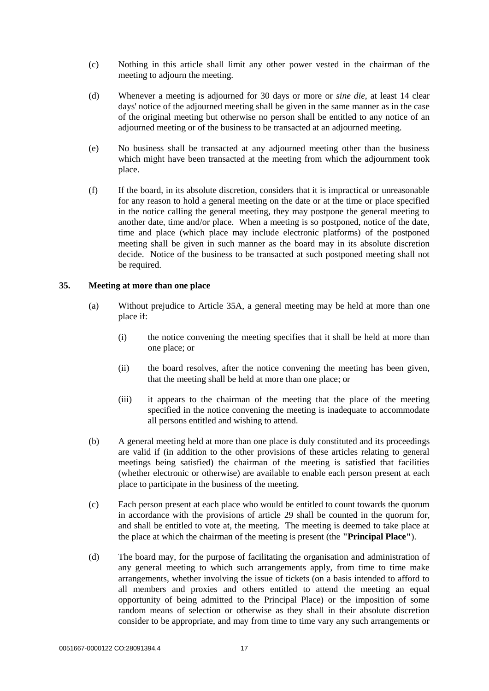- (c) Nothing in this article shall limit any other power vested in the chairman of the meeting to adjourn the meeting.
- (d) Whenever a meeting is adjourned for 30 days or more or *sine die*, at least 14 clear days' notice of the adjourned meeting shall be given in the same manner as in the case of the original meeting but otherwise no person shall be entitled to any notice of an adjourned meeting or of the business to be transacted at an adjourned meeting.
- (e) No business shall be transacted at any adjourned meeting other than the business which might have been transacted at the meeting from which the adjournment took place.
- (f) If the board, in its absolute discretion, considers that it is impractical or unreasonable for any reason to hold a general meeting on the date or at the time or place specified in the notice calling the general meeting, they may postpone the general meeting to another date, time and/or place. When a meeting is so postponed, notice of the date, time and place (which place may include electronic platforms) of the postponed meeting shall be given in such manner as the board may in its absolute discretion decide. Notice of the business to be transacted at such postponed meeting shall not be required.

## <span id="page-21-0"></span>**35. Meeting at more than one place**

- (a) Without prejudice to Article 35A, a general meeting may be held at more than one place if:
	- (i) the notice convening the meeting specifies that it shall be held at more than one place; or
	- (ii) the board resolves, after the notice convening the meeting has been given, that the meeting shall be held at more than one place; or
	- (iii) it appears to the chairman of the meeting that the place of the meeting specified in the notice convening the meeting is inadequate to accommodate all persons entitled and wishing to attend.
- (b) A general meeting held at more than one place is duly constituted and its proceedings are valid if (in addition to the other provisions of these articles relating to general meetings being satisfied) the chairman of the meeting is satisfied that facilities (whether electronic or otherwise) are available to enable each person present at each place to participate in the business of the meeting.
- (c) Each person present at each place who would be entitled to count towards the quorum in accordance with the provisions of article [29](#page-18-4) shall be counted in the quorum for, and shall be entitled to vote at, the meeting. The meeting is deemed to take place at the place at which the chairman of the meeting is present (the **"Principal Place"**).
- (d) The board may, for the purpose of facilitating the organisation and administration of any general meeting to which such arrangements apply, from time to time make arrangements, whether involving the issue of tickets (on a basis intended to afford to all members and proxies and others entitled to attend the meeting an equal opportunity of being admitted to the Principal Place) or the imposition of some random means of selection or otherwise as they shall in their absolute discretion consider to be appropriate, and may from time to time vary any such arrangements or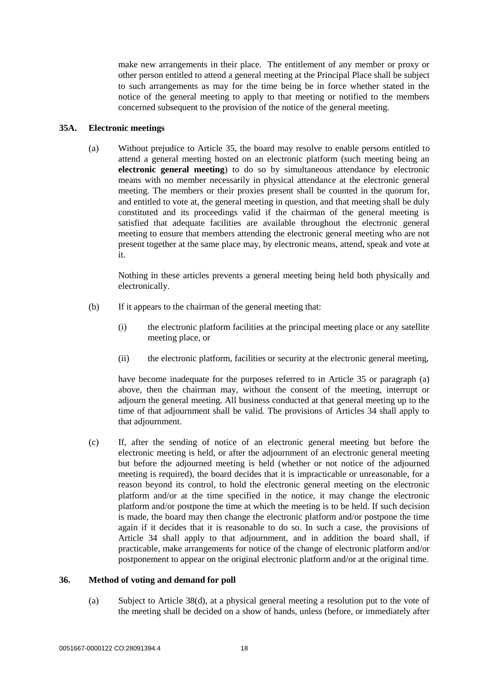make new arrangements in their place. The entitlement of any member or proxy or other person entitled to attend a general meeting at the Principal Place shall be subject to such arrangements as may for the time being be in force whether stated in the notice of the general meeting to apply to that meeting or notified to the members concerned subsequent to the provision of the notice of the general meeting.

# <span id="page-22-0"></span>**35A. Electronic meetings**

(a) Without prejudice to Article 35, the board may resolve to enable persons entitled to attend a general meeting hosted on an electronic platform (such meeting being an **electronic general meeting**) to do so by simultaneous attendance by electronic means with no member necessarily in physical attendance at the electronic general meeting. The members or their proxies present shall be counted in the quorum for, and entitled to vote at, the general meeting in question, and that meeting shall be duly constituted and its proceedings valid if the chairman of the general meeting is satisfied that adequate facilities are available throughout the electronic general meeting to ensure that members attending the electronic general meeting who are not present together at the same place may, by electronic means, attend, speak and vote at it.

Nothing in these articles prevents a general meeting being held both physically and electronically.

- (b) If it appears to the chairman of the general meeting that:
	- (i) the electronic platform facilities at the principal meeting place or any satellite meeting place, or
	- (ii) the electronic platform, facilities or security at the electronic general meeting,

have become inadequate for the purposes referred to in Article 35 or paragraph (a) above, then the chairman may, without the consent of the meeting, interrupt or adjourn the general meeting. All business conducted at that general meeting up to the time of that adjournment shall be valid. The provisions of Articles 34 shall apply to that adjournment.

(c) If, after the sending of notice of an electronic general meeting but before the electronic meeting is held, or after the adjournment of an electronic general meeting but before the adjourned meeting is held (whether or not notice of the adjourned meeting is required), the board decides that it is impracticable or unreasonable, for a reason beyond its control, to hold the electronic general meeting on the electronic platform and/or at the time specified in the notice, it may change the electronic platform and/or postpone the time at which the meeting is to be held. If such decision is made, the board may then change the electronic platform and/or postpone the time again if it decides that it is reasonable to do so. In such a case, the provisions of Article 34 shall apply to that adjournment, and in addition the board shall, if practicable, make arrangements for notice of the change of electronic platform and/or postponement to appear on the original electronic platform and/or at the original time.

## <span id="page-22-1"></span>**36. Method of voting and demand for poll**

(a) Subject to Article 38(d), at a physical general meeting a resolution put to the vote of the meeting shall be decided on a show of hands, unless (before, or immediately after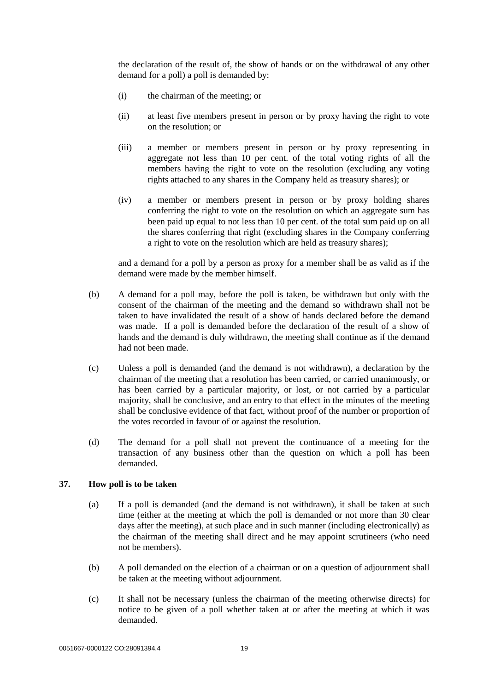the declaration of the result of, the show of hands or on the withdrawal of any other demand for a poll) a poll is demanded by:

- (i) the chairman of the meeting; or
- (ii) at least five members present in person or by proxy having the right to vote on the resolution; or
- (iii) a member or members present in person or by proxy representing in aggregate not less than 10 per cent. of the total voting rights of all the members having the right to vote on the resolution (excluding any voting rights attached to any shares in the Company held as treasury shares); or
- (iv) a member or members present in person or by proxy holding shares conferring the right to vote on the resolution on which an aggregate sum has been paid up equal to not less than 10 per cent. of the total sum paid up on all the shares conferring that right (excluding shares in the Company conferring a right to vote on the resolution which are held as treasury shares);

and a demand for a poll by a person as proxy for a member shall be as valid as if the demand were made by the member himself.

- (b) A demand for a poll may, before the poll is taken, be withdrawn but only with the consent of the chairman of the meeting and the demand so withdrawn shall not be taken to have invalidated the result of a show of hands declared before the demand was made. If a poll is demanded before the declaration of the result of a show of hands and the demand is duly withdrawn, the meeting shall continue as if the demand had not been made.
- (c) Unless a poll is demanded (and the demand is not withdrawn), a declaration by the chairman of the meeting that a resolution has been carried, or carried unanimously, or has been carried by a particular majority, or lost, or not carried by a particular majority, shall be conclusive, and an entry to that effect in the minutes of the meeting shall be conclusive evidence of that fact, without proof of the number or proportion of the votes recorded in favour of or against the resolution.
- (d) The demand for a poll shall not prevent the continuance of a meeting for the transaction of any business other than the question on which a poll has been demanded.

#### <span id="page-23-0"></span>**37. How poll is to be taken**

- (a) If a poll is demanded (and the demand is not withdrawn), it shall be taken at such time (either at the meeting at which the poll is demanded or not more than 30 clear days after the meeting), at such place and in such manner (including electronically) as the chairman of the meeting shall direct and he may appoint scrutineers (who need not be members).
- (b) A poll demanded on the election of a chairman or on a question of adjournment shall be taken at the meeting without adjournment.
- (c) It shall not be necessary (unless the chairman of the meeting otherwise directs) for notice to be given of a poll whether taken at or after the meeting at which it was demanded.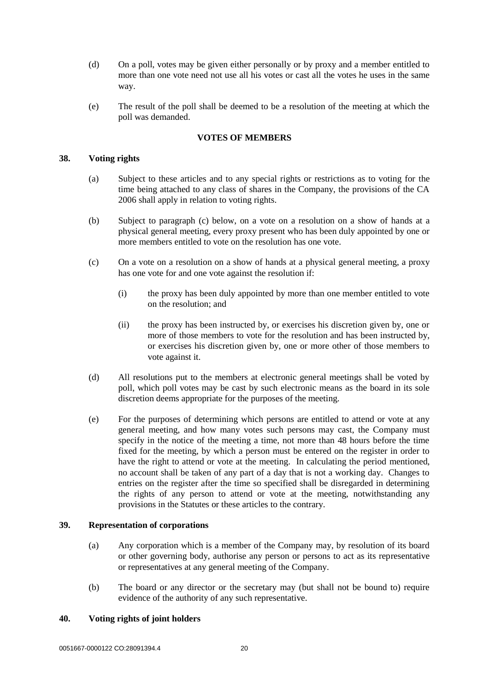- (d) On a poll, votes may be given either personally or by proxy and a member entitled to more than one vote need not use all his votes or cast all the votes he uses in the same way.
- (e) The result of the poll shall be deemed to be a resolution of the meeting at which the poll was demanded.

#### **VOTES OF MEMBERS**

#### <span id="page-24-1"></span><span id="page-24-0"></span>**38. Voting rights**

- (a) Subject to these articles and to any special rights or restrictions as to voting for the time being attached to any class of shares in the Company, the provisions of the CA 2006 shall apply in relation to voting rights.
- (b) Subject to paragraph [\(c\) below,](#page-24-4) on a vote on a resolution on a show of hands at a physical general meeting, every proxy present who has been duly appointed by one or more members entitled to vote on the resolution has one vote.
- <span id="page-24-4"></span>(c) On a vote on a resolution on a show of hands at a physical general meeting, a proxy has one vote for and one vote against the resolution if:
	- (i) the proxy has been duly appointed by more than one member entitled to vote on the resolution; and
	- (ii) the proxy has been instructed by, or exercises his discretion given by, one or more of those members to vote for the resolution and has been instructed by, or exercises his discretion given by, one or more other of those members to vote against it.
- (d) All resolutions put to the members at electronic general meetings shall be voted by poll, which poll votes may be cast by such electronic means as the board in its sole discretion deems appropriate for the purposes of the meeting.
- (e) For the purposes of determining which persons are entitled to attend or vote at any general meeting, and how many votes such persons may cast, the Company must specify in the notice of the meeting a time, not more than 48 hours before the time fixed for the meeting, by which a person must be entered on the register in order to have the right to attend or vote at the meeting. In calculating the period mentioned, no account shall be taken of any part of a day that is not a working day. Changes to entries on the register after the time so specified shall be disregarded in determining the rights of any person to attend or vote at the meeting, notwithstanding any provisions in the Statutes or these articles to the contrary.

#### <span id="page-24-2"></span>**39. Representation of corporations**

- (a) Any corporation which is a member of the Company may, by resolution of its board or other governing body, authorise any person or persons to act as its representative or representatives at any general meeting of the Company.
- (b) The board or any director or the secretary may (but shall not be bound to) require evidence of the authority of any such representative.

# <span id="page-24-3"></span>**40. Voting rights of joint holders**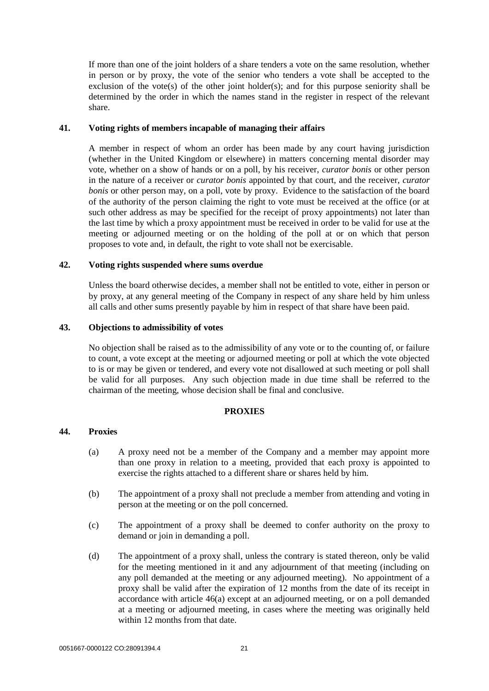If more than one of the joint holders of a share tenders a vote on the same resolution, whether in person or by proxy, the vote of the senior who tenders a vote shall be accepted to the exclusion of the vote(s) of the other joint holder(s); and for this purpose seniority shall be determined by the order in which the names stand in the register in respect of the relevant share.

#### <span id="page-25-0"></span>**41. Voting rights of members incapable of managing their affairs**

A member in respect of whom an order has been made by any court having jurisdiction (whether in the United Kingdom or elsewhere) in matters concerning mental disorder may vote, whether on a show of hands or on a poll, by his receiver, *curator bonis* or other person in the nature of a receiver or *curator bonis* appointed by that court, and the receiver, *curator bonis* or other person may, on a poll, vote by proxy. Evidence to the satisfaction of the board of the authority of the person claiming the right to vote must be received at the office (or at such other address as may be specified for the receipt of proxy appointments) not later than the last time by which a proxy appointment must be received in order to be valid for use at the meeting or adjourned meeting or on the holding of the poll at or on which that person proposes to vote and, in default, the right to vote shall not be exercisable.

#### <span id="page-25-1"></span>**42. Voting rights suspended where sums overdue**

Unless the board otherwise decides, a member shall not be entitled to vote, either in person or by proxy, at any general meeting of the Company in respect of any share held by him unless all calls and other sums presently payable by him in respect of that share have been paid.

#### <span id="page-25-2"></span>**43. Objections to admissibility of votes**

No objection shall be raised as to the admissibility of any vote or to the counting of, or failure to count, a vote except at the meeting or adjourned meeting or poll at which the vote objected to is or may be given or tendered, and every vote not disallowed at such meeting or poll shall be valid for all purposes. Any such objection made in due time shall be referred to the chairman of the meeting, whose decision shall be final and conclusive.

## **PROXIES**

## <span id="page-25-4"></span><span id="page-25-3"></span>**44. Proxies**

- (a) A proxy need not be a member of the Company and a member may appoint more than one proxy in relation to a meeting, provided that each proxy is appointed to exercise the rights attached to a different share or shares held by him.
- (b) The appointment of a proxy shall not preclude a member from attending and voting in person at the meeting or on the poll concerned.
- (c) The appointment of a proxy shall be deemed to confer authority on the proxy to demand or join in demanding a poll.
- (d) The appointment of a proxy shall, unless the contrary is stated thereon, only be valid for the meeting mentioned in it and any adjournment of that meeting (including on any poll demanded at the meeting or any adjourned meeting). No appointment of a proxy shall be valid after the expiration of 12 months from the date of its receipt in accordance with article [46\(a\)](#page-26-2) except at an adjourned meeting, or on a poll demanded at a meeting or adjourned meeting, in cases where the meeting was originally held within 12 months from that date.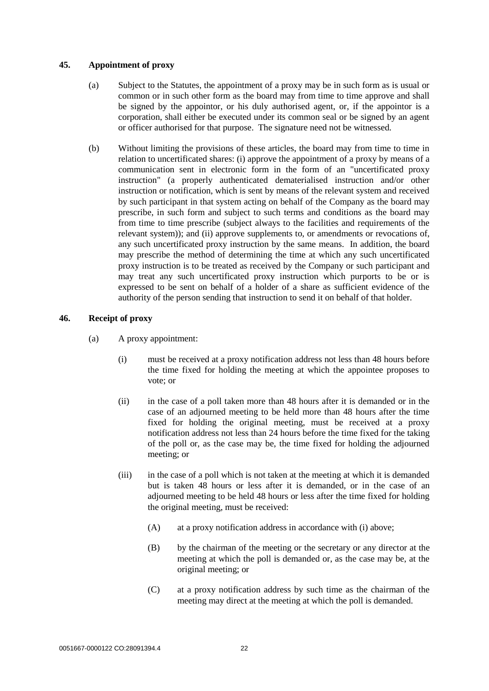## <span id="page-26-0"></span>**45. Appointment of proxy**

- (a) Subject to the Statutes, the appointment of a proxy may be in such form as is usual or common or in such other form as the board may from time to time approve and shall be signed by the appointor, or his duly authorised agent, or, if the appointor is a corporation, shall either be executed under its common seal or be signed by an agent or officer authorised for that purpose. The signature need not be witnessed.
- (b) Without limiting the provisions of these articles, the board may from time to time in relation to uncertificated shares: (i) approve the appointment of a proxy by means of a communication sent in electronic form in the form of an "uncertificated proxy instruction" (a properly authenticated dematerialised instruction and/or other instruction or notification, which is sent by means of the relevant system and received by such participant in that system acting on behalf of the Company as the board may prescribe, in such form and subject to such terms and conditions as the board may from time to time prescribe (subject always to the facilities and requirements of the relevant system)); and (ii) approve supplements to, or amendments or revocations of, any such uncertificated proxy instruction by the same means. In addition, the board may prescribe the method of determining the time at which any such uncertificated proxy instruction is to be treated as received by the Company or such participant and may treat any such uncertificated proxy instruction which purports to be or is expressed to be sent on behalf of a holder of a share as sufficient evidence of the authority of the person sending that instruction to send it on behalf of that holder.

## <span id="page-26-2"></span><span id="page-26-1"></span>**46. Receipt of proxy**

- (a) A proxy appointment:
	- (i) must be received at a proxy notification address not less than 48 hours before the time fixed for holding the meeting at which the appointee proposes to vote; or
	- (ii) in the case of a poll taken more than 48 hours after it is demanded or in the case of an adjourned meeting to be held more than 48 hours after the time fixed for holding the original meeting, must be received at a proxy notification address not less than 24 hours before the time fixed for the taking of the poll or, as the case may be, the time fixed for holding the adjourned meeting; or
	- (iii) in the case of a poll which is not taken at the meeting at which it is demanded but is taken 48 hours or less after it is demanded, or in the case of an adjourned meeting to be held 48 hours or less after the time fixed for holding the original meeting, must be received:
		- (A) at a proxy notification address in accordance with (i) above;
		- (B) by the chairman of the meeting or the secretary or any director at the meeting at which the poll is demanded or, as the case may be, at the original meeting; or
		- (C) at a proxy notification address by such time as the chairman of the meeting may direct at the meeting at which the poll is demanded.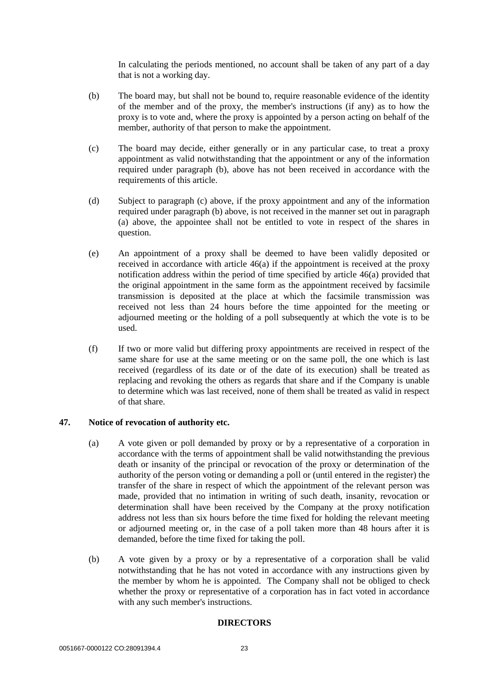In calculating the periods mentioned, no account shall be taken of any part of a day that is not a working day.

- <span id="page-27-2"></span>(b) The board may, but shall not be bound to, require reasonable evidence of the identity of the member and of the proxy, the member's instructions (if any) as to how the proxy is to vote and, where the proxy is appointed by a person acting on behalf of the member, authority of that person to make the appointment.
- <span id="page-27-3"></span>(c) The board may decide, either generally or in any particular case, to treat a proxy appointment as valid notwithstanding that the appointment or any of the information required under paragraph [\(b\),](#page-27-2) above has not been received in accordance with the requirements of this article.
- (d) Subject to paragraph [\(c\) above,](#page-27-3) if the proxy appointment and any of the information required under paragraph (b) [above,](#page-27-2) is not received in the manner set out in paragraph [\(a\) above,](#page-26-2) the appointee shall not be entitled to vote in respect of the shares in question.
- (e) An appointment of a proxy shall be deemed to have been validly deposited or received in accordance with article [46\(a\)](#page-26-2) if the appointment is received at the proxy notification address within the period of time specified by article [46\(a\)](#page-26-2) provided that the original appointment in the same form as the appointment received by facsimile transmission is deposited at the place at which the facsimile transmission was received not less than 24 hours before the time appointed for the meeting or adjourned meeting or the holding of a poll subsequently at which the vote is to be used.
- (f) If two or more valid but differing proxy appointments are received in respect of the same share for use at the same meeting or on the same poll, the one which is last received (regardless of its date or of the date of its execution) shall be treated as replacing and revoking the others as regards that share and if the Company is unable to determine which was last received, none of them shall be treated as valid in respect of that share.

## <span id="page-27-0"></span>**47. Notice of revocation of authority etc.**

- (a) A vote given or poll demanded by proxy or by a representative of a corporation in accordance with the terms of appointment shall be valid notwithstanding the previous death or insanity of the principal or revocation of the proxy or determination of the authority of the person voting or demanding a poll or (until entered in the register) the transfer of the share in respect of which the appointment of the relevant person was made, provided that no intimation in writing of such death, insanity, revocation or determination shall have been received by the Company at the proxy notification address not less than six hours before the time fixed for holding the relevant meeting or adjourned meeting or, in the case of a poll taken more than 48 hours after it is demanded, before the time fixed for taking the poll.
- <span id="page-27-1"></span>(b) A vote given by a proxy or by a representative of a corporation shall be valid notwithstanding that he has not voted in accordance with any instructions given by the member by whom he is appointed. The Company shall not be obliged to check whether the proxy or representative of a corporation has in fact voted in accordance with any such member's instructions.

## **DIRECTORS**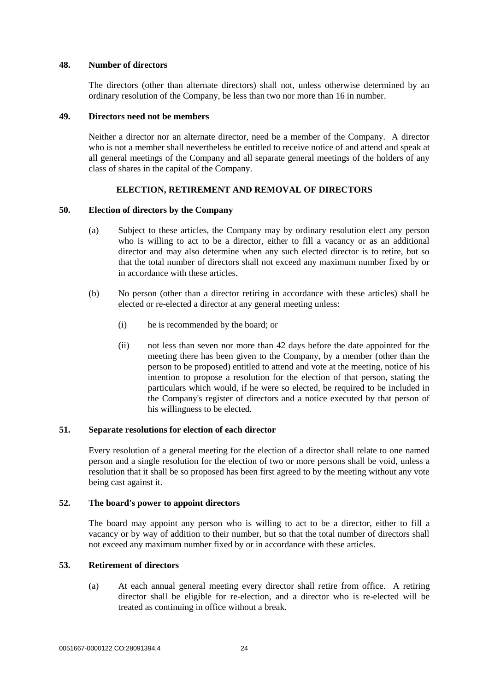#### <span id="page-28-0"></span>**48. Number of directors**

The directors (other than alternate directors) shall not, unless otherwise determined by an ordinary resolution of the Company, be less than two nor more than 16 in number.

#### <span id="page-28-1"></span>**49. Directors need not be members**

Neither a director nor an alternate director, need be a member of the Company. A director who is not a member shall nevertheless be entitled to receive notice of and attend and speak at all general meetings of the Company and all separate general meetings of the holders of any class of shares in the capital of the Company.

# **ELECTION, RETIREMENT AND REMOVAL OF DIRECTORS**

#### <span id="page-28-3"></span><span id="page-28-2"></span>**50. Election of directors by the Company**

- (a) Subject to these articles, the Company may by ordinary resolution elect any person who is willing to act to be a director, either to fill a vacancy or as an additional director and may also determine when any such elected director is to retire, but so that the total number of directors shall not exceed any maximum number fixed by or in accordance with these articles.
- <span id="page-28-7"></span>(b) No person (other than a director retiring in accordance with these articles) shall be elected or re-elected a director at any general meeting unless:
	- (i) he is recommended by the board; or
	- (ii) not less than seven nor more than 42 days before the date appointed for the meeting there has been given to the Company, by a member (other than the person to be proposed) entitled to attend and vote at the meeting, notice of his intention to propose a resolution for the election of that person, stating the particulars which would, if he were so elected, be required to be included in the Company's register of directors and a notice executed by that person of his willingness to be elected.

## <span id="page-28-4"></span>**51. Separate resolutions for election of each director**

Every resolution of a general meeting for the election of a director shall relate to one named person and a single resolution for the election of two or more persons shall be void, unless a resolution that it shall be so proposed has been first agreed to by the meeting without any vote being cast against it.

## <span id="page-28-5"></span>**52. The board's power to appoint directors**

The board may appoint any person who is willing to act to be a director, either to fill a vacancy or by way of addition to their number, but so that the total number of directors shall not exceed any maximum number fixed by or in accordance with these articles.

# <span id="page-28-6"></span>**53. Retirement of directors**

(a) At each annual general meeting every director shall retire from office. A retiring director shall be eligible for re-election, and a director who is re-elected will be treated as continuing in office without a break.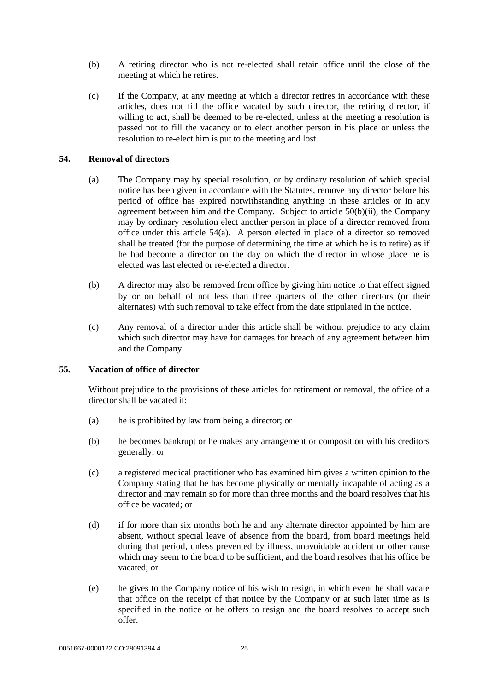- (b) A retiring director who is not re-elected shall retain office until the close of the meeting at which he retires.
- (c) If the Company, at any meeting at which a director retires in accordance with these articles, does not fill the office vacated by such director, the retiring director, if willing to act, shall be deemed to be re-elected, unless at the meeting a resolution is passed not to fill the vacancy or to elect another person in his place or unless the resolution to re-elect him is put to the meeting and lost.

## <span id="page-29-2"></span><span id="page-29-0"></span>**54. Removal of directors**

- (a) The Company may by special resolution, or by ordinary resolution of which special notice has been given in accordance with the Statutes, remove any director before his period of office has expired notwithstanding anything in these articles or in any agreement between him and the Company. Subject to article [50\(b\)\(ii\),](#page-28-7) the Company may by ordinary resolution elect another person in place of a director removed from office under this article [54\(a\).](#page-29-2) A person elected in place of a director so removed shall be treated (for the purpose of determining the time at which he is to retire) as if he had become a director on the day on which the director in whose place he is elected was last elected or re-elected a director.
- (b) A director may also be removed from office by giving him notice to that effect signed by or on behalf of not less than three quarters of the other directors (or their alternates) with such removal to take effect from the date stipulated in the notice.
- (c) Any removal of a director under this article shall be without prejudice to any claim which such director may have for damages for breach of any agreement between him and the Company.

## <span id="page-29-1"></span>**55. Vacation of office of director**

Without prejudice to the provisions of these articles for retirement or removal, the office of a director shall be vacated if:

- (a) he is prohibited by law from being a director; or
- (b) he becomes bankrupt or he makes any arrangement or composition with his creditors generally; or
- (c) a registered medical practitioner who has examined him gives a written opinion to the Company stating that he has become physically or mentally incapable of acting as a director and may remain so for more than three months and the board resolves that his office be vacated; or
- (d) if for more than six months both he and any alternate director appointed by him are absent, without special leave of absence from the board, from board meetings held during that period, unless prevented by illness, unavoidable accident or other cause which may seem to the board to be sufficient, and the board resolves that his office be vacated; or
- (e) he gives to the Company notice of his wish to resign, in which event he shall vacate that office on the receipt of that notice by the Company or at such later time as is specified in the notice or he offers to resign and the board resolves to accept such offer.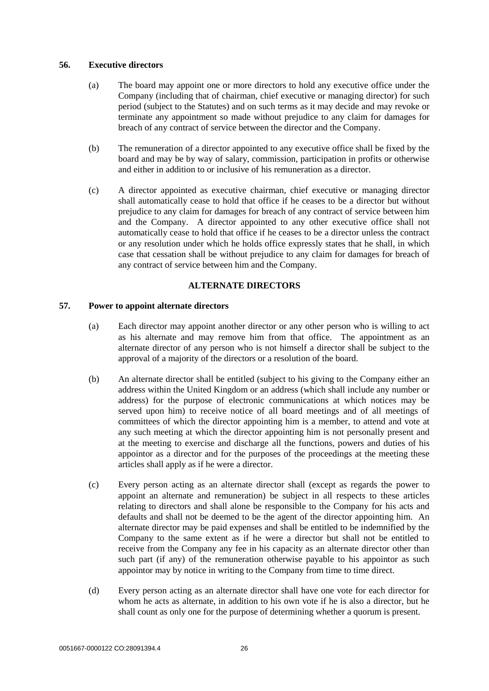## <span id="page-30-0"></span>**56. Executive directors**

- (a) The board may appoint one or more directors to hold any executive office under the Company (including that of chairman, chief executive or managing director) for such period (subject to the Statutes) and on such terms as it may decide and may revoke or terminate any appointment so made without prejudice to any claim for damages for breach of any contract of service between the director and the Company.
- (b) The remuneration of a director appointed to any executive office shall be fixed by the board and may be by way of salary, commission, participation in profits or otherwise and either in addition to or inclusive of his remuneration as a director.
- (c) A director appointed as executive chairman, chief executive or managing director shall automatically cease to hold that office if he ceases to be a director but without prejudice to any claim for damages for breach of any contract of service between him and the Company. A director appointed to any other executive office shall not automatically cease to hold that office if he ceases to be a director unless the contract or any resolution under which he holds office expressly states that he shall, in which case that cessation shall be without prejudice to any claim for damages for breach of any contract of service between him and the Company.

## **ALTERNATE DIRECTORS**

## <span id="page-30-2"></span><span id="page-30-1"></span>**57. Power to appoint alternate directors**

- (a) Each director may appoint another director or any other person who is willing to act as his alternate and may remove him from that office. The appointment as an alternate director of any person who is not himself a director shall be subject to the approval of a majority of the directors or a resolution of the board.
- (b) An alternate director shall be entitled (subject to his giving to the Company either an address within the United Kingdom or an address (which shall include any number or address) for the purpose of electronic communications at which notices may be served upon him) to receive notice of all board meetings and of all meetings of committees of which the director appointing him is a member, to attend and vote at any such meeting at which the director appointing him is not personally present and at the meeting to exercise and discharge all the functions, powers and duties of his appointor as a director and for the purposes of the proceedings at the meeting these articles shall apply as if he were a director.
- (c) Every person acting as an alternate director shall (except as regards the power to appoint an alternate and remuneration) be subject in all respects to these articles relating to directors and shall alone be responsible to the Company for his acts and defaults and shall not be deemed to be the agent of the director appointing him. An alternate director may be paid expenses and shall be entitled to be indemnified by the Company to the same extent as if he were a director but shall not be entitled to receive from the Company any fee in his capacity as an alternate director other than such part (if any) of the remuneration otherwise payable to his appointor as such appointor may by notice in writing to the Company from time to time direct.
- (d) Every person acting as an alternate director shall have one vote for each director for whom he acts as alternate, in addition to his own vote if he is also a director, but he shall count as only one for the purpose of determining whether a quorum is present.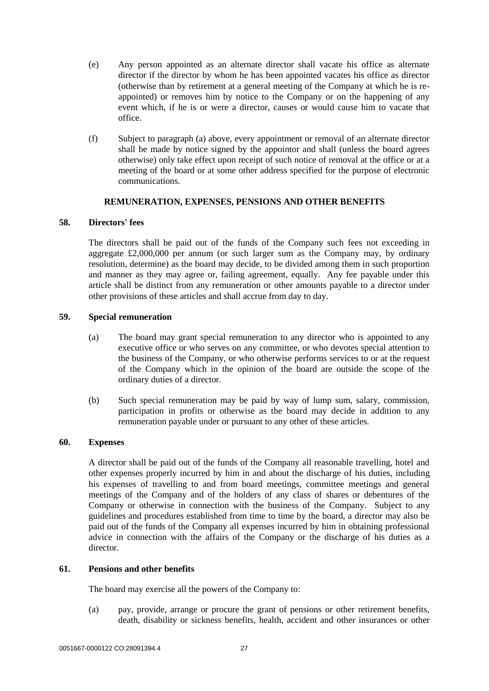- (e) Any person appointed as an alternate director shall vacate his office as alternate director if the director by whom he has been appointed vacates his office as director (otherwise than by retirement at a general meeting of the Company at which he is reappointed) or removes him by notice to the Company or on the happening of any event which, if he is or were a director, causes or would cause him to vacate that office.
- (f) Subject to paragraph (a) above, every appointment or removal of an alternate director shall be made by notice signed by the appointor and shall (unless the board agrees otherwise) only take effect upon receipt of such notice of removal at the office or at a meeting of the board or at some other address specified for the purpose of electronic communications.

# **REMUNERATION, EXPENSES, PENSIONS AND OTHER BENEFITS**

## <span id="page-31-1"></span><span id="page-31-0"></span>**58. Directors' fees**

The directors shall be paid out of the funds of the Company such fees not exceeding in aggregate £2,000,000 per annum (or such larger sum as the Company may, by ordinary resolution, determine) as the board may decide, to be divided among them in such proportion and manner as they may agree or, failing agreement, equally. Any fee payable under this article shall be distinct from any remuneration or other amounts payable to a director under other provisions of these articles and shall accrue from day to day.

## <span id="page-31-2"></span>**59. Special remuneration**

- (a) The board may grant special remuneration to any director who is appointed to any executive office or who serves on any committee, or who devotes special attention to the business of the Company, or who otherwise performs services to or at the request of the Company which in the opinion of the board are outside the scope of the ordinary duties of a director.
- (b) Such special remuneration may be paid by way of lump sum, salary, commission, participation in profits or otherwise as the board may decide in addition to any remuneration payable under or pursuant to any other of these articles.

## <span id="page-31-3"></span>**60. Expenses**

A director shall be paid out of the funds of the Company all reasonable travelling, hotel and other expenses properly incurred by him in and about the discharge of his duties, including his expenses of travelling to and from board meetings, committee meetings and general meetings of the Company and of the holders of any class of shares or debentures of the Company or otherwise in connection with the business of the Company. Subject to any guidelines and procedures established from time to time by the board, a director may also be paid out of the funds of the Company all expenses incurred by him in obtaining professional advice in connection with the affairs of the Company or the discharge of his duties as a director.

## <span id="page-31-4"></span>**61. Pensions and other benefits**

The board may exercise all the powers of the Company to:

(a) pay, provide, arrange or procure the grant of pensions or other retirement benefits, death, disability or sickness benefits, health, accident and other insurances or other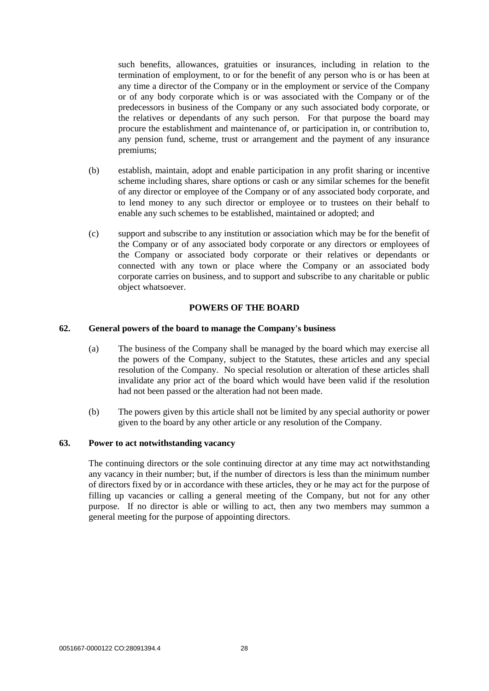such benefits, allowances, gratuities or insurances, including in relation to the termination of employment, to or for the benefit of any person who is or has been at any time a director of the Company or in the employment or service of the Company or of any body corporate which is or was associated with the Company or of the predecessors in business of the Company or any such associated body corporate, or the relatives or dependants of any such person. For that purpose the board may procure the establishment and maintenance of, or participation in, or contribution to, any pension fund, scheme, trust or arrangement and the payment of any insurance premiums;

- (b) establish, maintain, adopt and enable participation in any profit sharing or incentive scheme including shares, share options or cash or any similar schemes for the benefit of any director or employee of the Company or of any associated body corporate, and to lend money to any such director or employee or to trustees on their behalf to enable any such schemes to be established, maintained or adopted; and
- (c) support and subscribe to any institution or association which may be for the benefit of the Company or of any associated body corporate or any directors or employees of the Company or associated body corporate or their relatives or dependants or connected with any town or place where the Company or an associated body corporate carries on business, and to support and subscribe to any charitable or public object whatsoever.

#### **POWERS OF THE BOARD**

#### <span id="page-32-1"></span><span id="page-32-0"></span>**62. General powers of the board to manage the Company's business**

- (a) The business of the Company shall be managed by the board which may exercise all the powers of the Company, subject to the Statutes, these articles and any special resolution of the Company. No special resolution or alteration of these articles shall invalidate any prior act of the board which would have been valid if the resolution had not been passed or the alteration had not been made.
- (b) The powers given by this article shall not be limited by any special authority or power given to the board by any other article or any resolution of the Company.

#### <span id="page-32-3"></span><span id="page-32-2"></span>**63. Power to act notwithstanding vacancy**

The continuing directors or the sole continuing director at any time may act notwithstanding any vacancy in their number; but, if the number of directors is less than the minimum number of directors fixed by or in accordance with these articles, they or he may act for the purpose of filling up vacancies or calling a general meeting of the Company, but not for any other purpose. If no director is able or willing to act, then any two members may summon a general meeting for the purpose of appointing directors.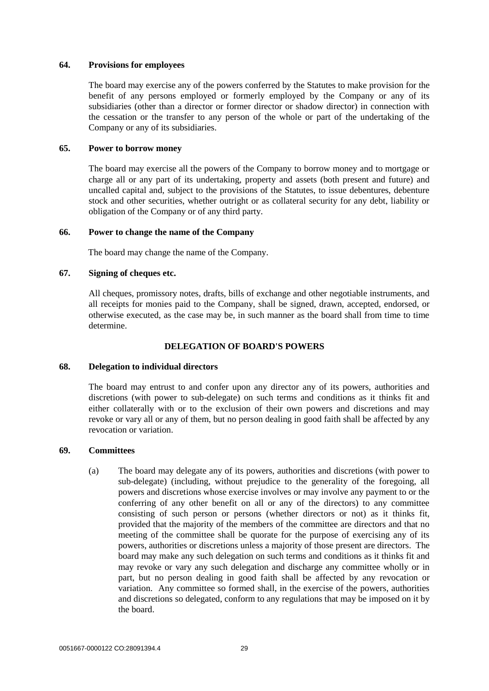#### <span id="page-33-0"></span>**64. Provisions for employees**

The board may exercise any of the powers conferred by the Statutes to make provision for the benefit of any persons employed or formerly employed by the Company or any of its subsidiaries (other than a director or former director or shadow director) in connection with the cessation or the transfer to any person of the whole or part of the undertaking of the Company or any of its subsidiaries.

## <span id="page-33-1"></span>**65. Power to borrow money**

The board may exercise all the powers of the Company to borrow money and to mortgage or charge all or any part of its undertaking, property and assets (both present and future) and uncalled capital and, subject to the provisions of the Statutes, to issue debentures, debenture stock and other securities, whether outright or as collateral security for any debt, liability or obligation of the Company or of any third party.

#### <span id="page-33-2"></span>**66. Power to change the name of the Company**

The board may change the name of the Company.

#### <span id="page-33-3"></span>**67. Signing of cheques etc.**

All cheques, promissory notes, drafts, bills of exchange and other negotiable instruments, and all receipts for monies paid to the Company, shall be signed, drawn, accepted, endorsed, or otherwise executed, as the case may be, in such manner as the board shall from time to time determine.

# **DELEGATION OF BOARD'S POWERS**

## <span id="page-33-5"></span><span id="page-33-4"></span>**68. Delegation to individual directors**

The board may entrust to and confer upon any director any of its powers, authorities and discretions (with power to sub-delegate) on such terms and conditions as it thinks fit and either collaterally with or to the exclusion of their own powers and discretions and may revoke or vary all or any of them, but no person dealing in good faith shall be affected by any revocation or variation.

## <span id="page-33-6"></span>**69. Committees**

(a) The board may delegate any of its powers, authorities and discretions (with power to sub-delegate) (including, without prejudice to the generality of the foregoing, all powers and discretions whose exercise involves or may involve any payment to or the conferring of any other benefit on all or any of the directors) to any committee consisting of such person or persons (whether directors or not) as it thinks fit, provided that the majority of the members of the committee are directors and that no meeting of the committee shall be quorate for the purpose of exercising any of its powers, authorities or discretions unless a majority of those present are directors. The board may make any such delegation on such terms and conditions as it thinks fit and may revoke or vary any such delegation and discharge any committee wholly or in part, but no person dealing in good faith shall be affected by any revocation or variation. Any committee so formed shall, in the exercise of the powers, authorities and discretions so delegated, conform to any regulations that may be imposed on it by the board.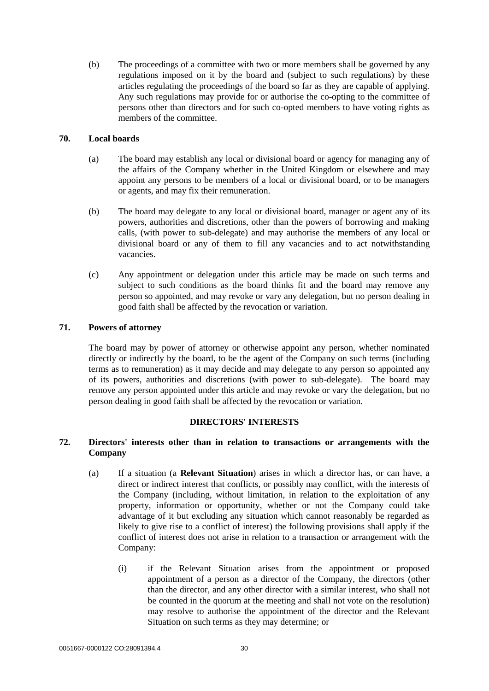(b) The proceedings of a committee with two or more members shall be governed by any regulations imposed on it by the board and (subject to such regulations) by these articles regulating the proceedings of the board so far as they are capable of applying. Any such regulations may provide for or authorise the co-opting to the committee of persons other than directors and for such co-opted members to have voting rights as members of the committee.

#### <span id="page-34-0"></span>**70. Local boards**

- (a) The board may establish any local or divisional board or agency for managing any of the affairs of the Company whether in the United Kingdom or elsewhere and may appoint any persons to be members of a local or divisional board, or to be managers or agents, and may fix their remuneration.
- (b) The board may delegate to any local or divisional board, manager or agent any of its powers, authorities and discretions, other than the powers of borrowing and making calls, (with power to sub-delegate) and may authorise the members of any local or divisional board or any of them to fill any vacancies and to act notwithstanding vacancies.
- (c) Any appointment or delegation under this article may be made on such terms and subject to such conditions as the board thinks fit and the board may remove any person so appointed, and may revoke or vary any delegation, but no person dealing in good faith shall be affected by the revocation or variation.

## <span id="page-34-1"></span>**71. Powers of attorney**

The board may by power of attorney or otherwise appoint any person, whether nominated directly or indirectly by the board, to be the agent of the Company on such terms (including terms as to remuneration) as it may decide and may delegate to any person so appointed any of its powers, authorities and discretions (with power to sub-delegate). The board may remove any person appointed under this article and may revoke or vary the delegation, but no person dealing in good faith shall be affected by the revocation or variation.

## **DIRECTORS' INTERESTS**

# <span id="page-34-5"></span><span id="page-34-3"></span><span id="page-34-2"></span>**72. Directors' interests other than in relation to transactions or arrangements with the Company**

- <span id="page-34-4"></span>(a) If a situation (a **Relevant Situation**) arises in which a director has, or can have, a direct or indirect interest that conflicts, or possibly may conflict, with the interests of the Company (including, without limitation, in relation to the exploitation of any property, information or opportunity, whether or not the Company could take advantage of it but excluding any situation which cannot reasonably be regarded as likely to give rise to a conflict of interest) the following provisions shall apply if the conflict of interest does not arise in relation to a transaction or arrangement with the Company:
	- (i) if the Relevant Situation arises from the appointment or proposed appointment of a person as a director of the Company, the directors (other than the director, and any other director with a similar interest, who shall not be counted in the quorum at the meeting and shall not vote on the resolution) may resolve to authorise the appointment of the director and the Relevant Situation on such terms as they may determine; or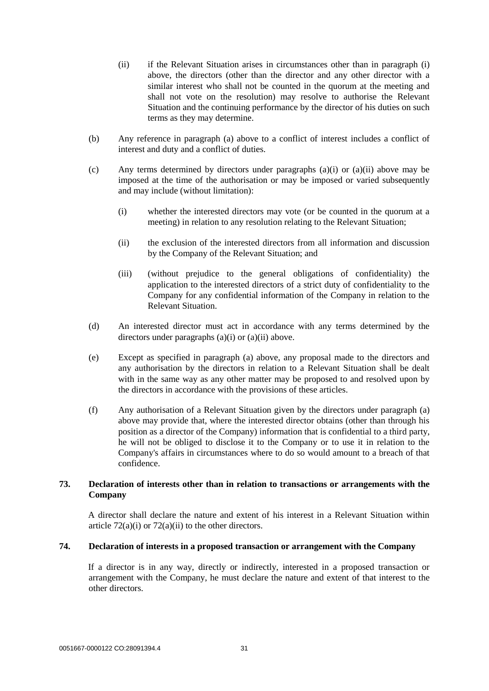- <span id="page-35-2"></span>(ii) if the Relevant Situation arises in circumstances other than in paragraph [\(i\)](#page-34-4)  [above,](#page-34-4) the directors (other than the director and any other director with a similar interest who shall not be counted in the quorum at the meeting and shall not vote on the resolution) may resolve to authorise the Relevant Situation and the continuing performance by the director of his duties on such terms as they may determine.
- (b) Any reference in paragraph [\(a\) above](#page-34-5) to a conflict of interest includes a conflict of interest and duty and a conflict of duties.
- (c) Any terms determined by directors under paragraphs [\(a\)\(i\)](#page-34-4) or [\(a\)\(ii\) above](#page-35-2) may be imposed at the time of the authorisation or may be imposed or varied subsequently and may include (without limitation):
	- (i) whether the interested directors may vote (or be counted in the quorum at a meeting) in relation to any resolution relating to the Relevant Situation;
	- (ii) the exclusion of the interested directors from all information and discussion by the Company of the Relevant Situation; and
	- (iii) (without prejudice to the general obligations of confidentiality) the application to the interested directors of a strict duty of confidentiality to the Company for any confidential information of the Company in relation to the Relevant Situation.
- (d) An interested director must act in accordance with any terms determined by the directors under paragraphs [\(a\)\(i\)](#page-34-4) or [\(a\)\(ii\) above.](#page-35-2)
- (e) Except as specified in paragraph [\(a\) above,](#page-34-5) any proposal made to the directors and any authorisation by the directors in relation to a Relevant Situation shall be dealt with in the same way as any other matter may be proposed to and resolved upon by the directors in accordance with the provisions of these articles.
- (f) Any authorisation of a Relevant Situation given by the directors under paragraph [\(a\)](#page-34-5)  [above](#page-34-5) may provide that, where the interested director obtains (other than through his position as a director of the Company) information that is confidential to a third party, he will not be obliged to disclose it to the Company or to use it in relation to the Company's affairs in circumstances where to do so would amount to a breach of that confidence.

# <span id="page-35-4"></span><span id="page-35-0"></span>**73. Declaration of interests other than in relation to transactions or arrangements with the Company**

A director shall declare the nature and extent of his interest in a Relevant Situation within article  $72(a)(i)$  or  $72(a)(ii)$  to the other directors.

## <span id="page-35-3"></span><span id="page-35-1"></span>**74. Declaration of interests in a proposed transaction or arrangement with the Company**

If a director is in any way, directly or indirectly, interested in a proposed transaction or arrangement with the Company, he must declare the nature and extent of that interest to the other directors.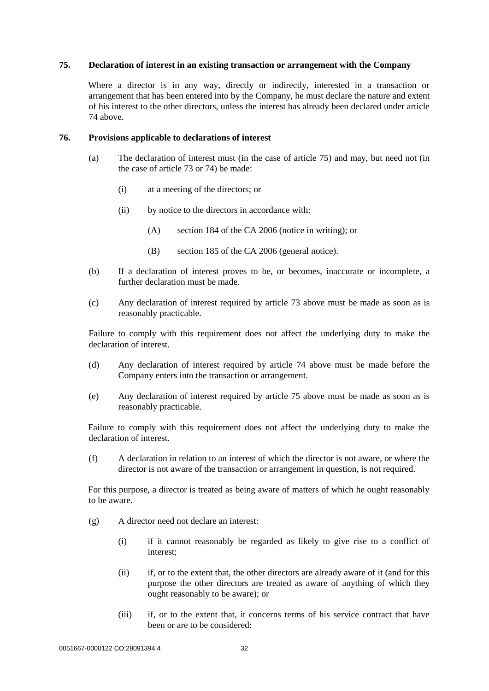#### <span id="page-36-2"></span><span id="page-36-0"></span>**75. Declaration of interest in an existing transaction or arrangement with the Company**

Where a director is in any way, directly or indirectly, interested in a transaction or arrangement that has been entered into by the Company, he must declare the nature and extent of his interest to the other directors, unless the interest has already been declared under article [74](#page-35-3) above.

#### <span id="page-36-1"></span>**76. Provisions applicable to declarations of interest**

- (a) The declaration of interest must (in the case of article [75\)](#page-36-2) and may, but need not (in the case of article [73](#page-35-4) o[r 74\)](#page-35-3) be made:
	- (i) at a meeting of the directors; or
	- (ii) by notice to the directors in accordance with:
		- (A) section 184 of the CA 2006 (notice in writing); or
		- (B) section 185 of the CA 2006 (general notice).
- (b) If a declaration of interest proves to be, or becomes, inaccurate or incomplete, a further declaration must be made.
- (c) Any declaration of interest required by article [73](#page-35-4) above must be made as soon as is reasonably practicable.

Failure to comply with this requirement does not affect the underlying duty to make the declaration of interest.

- (d) Any declaration of interest required by article [74](#page-35-3) above must be made before the Company enters into the transaction or arrangement.
- (e) Any declaration of interest required by article [75](#page-36-2) above must be made as soon as is reasonably practicable.

Failure to comply with this requirement does not affect the underlying duty to make the declaration of interest.

(f) A declaration in relation to an interest of which the director is not aware, or where the director is not aware of the transaction or arrangement in question, is not required.

For this purpose, a director is treated as being aware of matters of which he ought reasonably to be aware.

- (g) A director need not declare an interest:
	- (i) if it cannot reasonably be regarded as likely to give rise to a conflict of interest;
	- (ii) if, or to the extent that, the other directors are already aware of it (and for this purpose the other directors are treated as aware of anything of which they ought reasonably to be aware); or
	- (iii) if, or to the extent that, it concerns terms of his service contract that have been or are to be considered: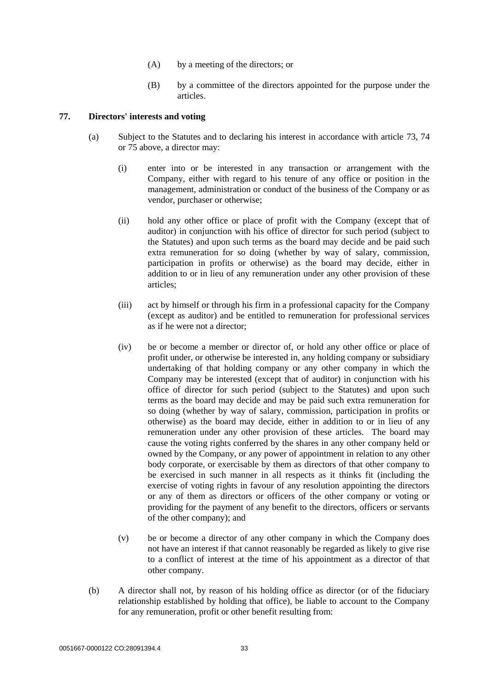- (A) by a meeting of the directors; or
- (B) by a committee of the directors appointed for the purpose under the articles.

## <span id="page-37-1"></span><span id="page-37-0"></span>**77. Directors' interests and voting**

- (a) Subject to the Statutes and to declaring his interest in accordance with article [73,](#page-35-4) [74](#page-35-3) or [75](#page-36-2) above, a director may:
	- (i) enter into or be interested in any transaction or arrangement with the Company, either with regard to his tenure of any office or position in the management, administration or conduct of the business of the Company or as vendor, purchaser or otherwise;
	- (ii) hold any other office or place of profit with the Company (except that of auditor) in conjunction with his office of director for such period (subject to the Statutes) and upon such terms as the board may decide and be paid such extra remuneration for so doing (whether by way of salary, commission, participation in profits or otherwise) as the board may decide, either in addition to or in lieu of any remuneration under any other provision of these articles;
	- (iii) act by himself or through his firm in a professional capacity for the Company (except as auditor) and be entitled to remuneration for professional services as if he were not a director;
	- (iv) be or become a member or director of, or hold any other office or place of profit under, or otherwise be interested in, any holding company or subsidiary undertaking of that holding company or any other company in which the Company may be interested (except that of auditor) in conjunction with his office of director for such period (subject to the Statutes) and upon such terms as the board may decide and may be paid such extra remuneration for so doing (whether by way of salary, commission, participation in profits or otherwise) as the board may decide, either in addition to or in lieu of any remuneration under any other provision of these articles. The board may cause the voting rights conferred by the shares in any other company held or owned by the Company, or any power of appointment in relation to any other body corporate, or exercisable by them as directors of that other company to be exercised in such manner in all respects as it thinks fit (including the exercise of voting rights in favour of any resolution appointing the directors or any of them as directors or officers of the other company or voting or providing for the payment of any benefit to the directors, officers or servants of the other company); and
	- (v) be or become a director of any other company in which the Company does not have an interest if that cannot reasonably be regarded as likely to give rise to a conflict of interest at the time of his appointment as a director of that other company.
- (b) A director shall not, by reason of his holding office as director (or of the fiduciary relationship established by holding that office), be liable to account to the Company for any remuneration, profit or other benefit resulting from: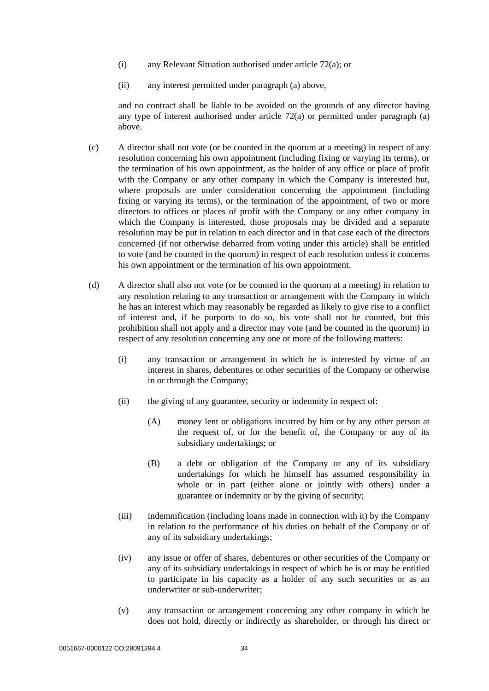- (i) any Relevant Situation authorised under article [72\(a\);](#page-34-5) or
- (ii) any interest permitted under paragraph [\(a\)](#page-37-1) above,

and no contract shall be liable to be avoided on the grounds of any director having any type of interest authorised under article [72\(a\)](#page-34-5) or permitted under paragraph [\(a\)](#page-37-1) above.

- (c) A director shall not vote (or be counted in the quorum at a meeting) in respect of any resolution concerning his own appointment (including fixing or varying its terms), or the termination of his own appointment, as the holder of any office or place of profit with the Company or any other company in which the Company is interested but, where proposals are under consideration concerning the appointment (including fixing or varying its terms), or the termination of the appointment, of two or more directors to offices or places of profit with the Company or any other company in which the Company is interested, those proposals may be divided and a separate resolution may be put in relation to each director and in that case each of the directors concerned (if not otherwise debarred from voting under this article) shall be entitled to vote (and be counted in the quorum) in respect of each resolution unless it concerns his own appointment or the termination of his own appointment.
- (d) A director shall also not vote (or be counted in the quorum at a meeting) in relation to any resolution relating to any transaction or arrangement with the Company in which he has an interest which may reasonably be regarded as likely to give rise to a conflict of interest and, if he purports to do so, his vote shall not be counted, but this prohibition shall not apply and a director may vote (and be counted in the quorum) in respect of any resolution concerning any one or more of the following matters:
	- (i) any transaction or arrangement in which he is interested by virtue of an interest in shares, debentures or other securities of the Company or otherwise in or through the Company;
	- (ii) the giving of any guarantee, security or indemnity in respect of:
		- (A) money lent or obligations incurred by him or by any other person at the request of, or for the benefit of, the Company or any of its subsidiary undertakings; or
		- (B) a debt or obligation of the Company or any of its subsidiary undertakings for which he himself has assumed responsibility in whole or in part (either alone or jointly with others) under a guarantee or indemnity or by the giving of security;
	- (iii) indemnification (including loans made in connection with it) by the Company in relation to the performance of his duties on behalf of the Company or of any of its subsidiary undertakings;
	- (iv) any issue or offer of shares, debentures or other securities of the Company or any of its subsidiary undertakings in respect of which he is or may be entitled to participate in his capacity as a holder of any such securities or as an underwriter or sub-underwriter;
	- (v) any transaction or arrangement concerning any other company in which he does not hold, directly or indirectly as shareholder, or through his direct or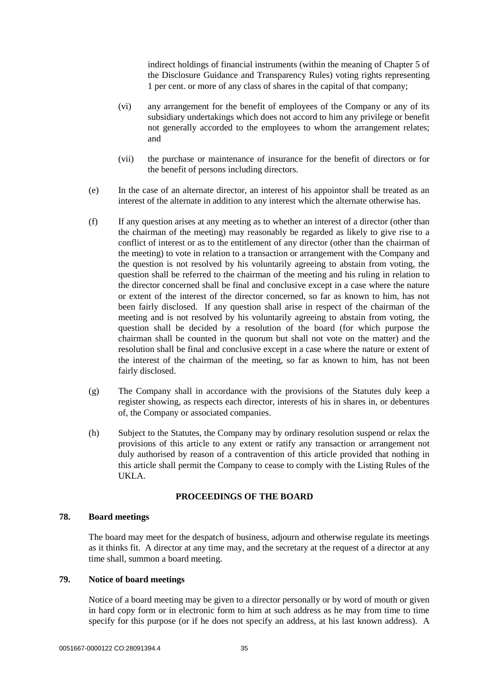indirect holdings of financial instruments (within the meaning of Chapter 5 of the Disclosure Guidance and Transparency Rules) voting rights representing 1 per cent. or more of any class of shares in the capital of that company;

- (vi) any arrangement for the benefit of employees of the Company or any of its subsidiary undertakings which does not accord to him any privilege or benefit not generally accorded to the employees to whom the arrangement relates; and
- (vii) the purchase or maintenance of insurance for the benefit of directors or for the benefit of persons including directors.
- (e) In the case of an alternate director, an interest of his appointor shall be treated as an interest of the alternate in addition to any interest which the alternate otherwise has.
- (f) If any question arises at any meeting as to whether an interest of a director (other than the chairman of the meeting) may reasonably be regarded as likely to give rise to a conflict of interest or as to the entitlement of any director (other than the chairman of the meeting) to vote in relation to a transaction or arrangement with the Company and the question is not resolved by his voluntarily agreeing to abstain from voting, the question shall be referred to the chairman of the meeting and his ruling in relation to the director concerned shall be final and conclusive except in a case where the nature or extent of the interest of the director concerned, so far as known to him, has not been fairly disclosed. If any question shall arise in respect of the chairman of the meeting and is not resolved by his voluntarily agreeing to abstain from voting, the question shall be decided by a resolution of the board (for which purpose the chairman shall be counted in the quorum but shall not vote on the matter) and the resolution shall be final and conclusive except in a case where the nature or extent of the interest of the chairman of the meeting, so far as known to him, has not been fairly disclosed.
- (g) The Company shall in accordance with the provisions of the Statutes duly keep a register showing, as respects each director, interests of his in shares in, or debentures of, the Company or associated companies.
- (h) Subject to the Statutes, the Company may by ordinary resolution suspend or relax the provisions of this article to any extent or ratify any transaction or arrangement not duly authorised by reason of a contravention of this article provided that nothing in this article shall permit the Company to cease to comply with the Listing Rules of the UKLA.

#### **PROCEEDINGS OF THE BOARD**

#### <span id="page-39-1"></span><span id="page-39-0"></span>**78. Board meetings**

The board may meet for the despatch of business, adjourn and otherwise regulate its meetings as it thinks fit. A director at any time may, and the secretary at the request of a director at any time shall, summon a board meeting.

#### <span id="page-39-2"></span>**79. Notice of board meetings**

Notice of a board meeting may be given to a director personally or by word of mouth or given in hard copy form or in electronic form to him at such address as he may from time to time specify for this purpose (or if he does not specify an address, at his last known address). A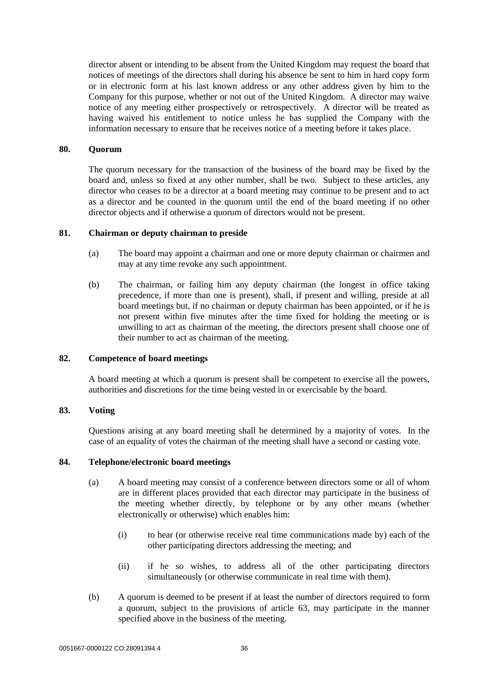director absent or intending to be absent from the United Kingdom may request the board that notices of meetings of the directors shall during his absence be sent to him in hard copy form or in electronic form at his last known address or any other address given by him to the Company for this purpose, whether or not out of the United Kingdom. A director may waive notice of any meeting either prospectively or retrospectively. A director will be treated as having waived his entitlement to notice unless he has supplied the Company with the information necessary to ensure that he receives notice of a meeting before it takes place.

#### <span id="page-40-0"></span>**80. Quorum**

The quorum necessary for the transaction of the business of the board may be fixed by the board and, unless so fixed at any other number, shall be two. Subject to these articles, any director who ceases to be a director at a board meeting may continue to be present and to act as a director and be counted in the quorum until the end of the board meeting if no other director objects and if otherwise a quorum of directors would not be present.

#### <span id="page-40-1"></span>**81. Chairman or deputy chairman to preside**

- (a) The board may appoint a chairman and one or more deputy chairman or chairmen and may at any time revoke any such appointment.
- (b) The chairman, or failing him any deputy chairman (the longest in office taking precedence, if more than one is present), shall, if present and willing, preside at all board meetings but, if no chairman or deputy chairman has been appointed, or if he is not present within five minutes after the time fixed for holding the meeting or is unwilling to act as chairman of the meeting, the directors present shall choose one of their number to act as chairman of the meeting.

#### <span id="page-40-2"></span>**82. Competence of board meetings**

A board meeting at which a quorum is present shall be competent to exercise all the powers, authorities and discretions for the time being vested in or exercisable by the board.

#### <span id="page-40-3"></span>**83. Voting**

Questions arising at any board meeting shall be determined by a majority of votes. In the case of an equality of votes the chairman of the meeting shall have a second or casting vote.

#### <span id="page-40-4"></span>**84. Telephone/electronic board meetings**

- (a) A board meeting may consist of a conference between directors some or all of whom are in different places provided that each director may participate in the business of the meeting whether directly, by telephone or by any other means (whether electronically or otherwise) which enables him:
	- (i) to hear (or otherwise receive real time communications made by) each of the other participating directors addressing the meeting; and
	- (ii) if he so wishes, to address all of the other participating directors simultaneously (or otherwise communicate in real time with them).
- (b) A quorum is deemed to be present if at least the number of directors required to form a quorum, subject to the provisions of article [63,](#page-32-3) may participate in the manner specified above in the business of the meeting.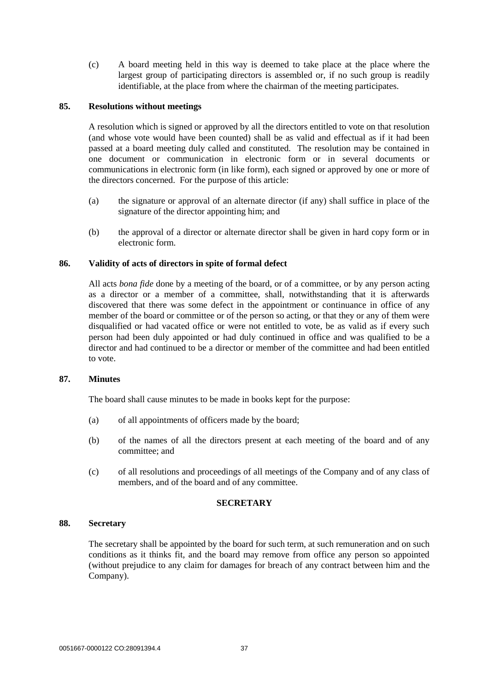(c) A board meeting held in this way is deemed to take place at the place where the largest group of participating directors is assembled or, if no such group is readily identifiable, at the place from where the chairman of the meeting participates.

## <span id="page-41-0"></span>**85. Resolutions without meetings**

A resolution which is signed or approved by all the directors entitled to vote on that resolution (and whose vote would have been counted) shall be as valid and effectual as if it had been passed at a board meeting duly called and constituted. The resolution may be contained in one document or communication in electronic form or in several documents or communications in electronic form (in like form), each signed or approved by one or more of the directors concerned. For the purpose of this article:

- (a) the signature or approval of an alternate director (if any) shall suffice in place of the signature of the director appointing him; and
- (b) the approval of a director or alternate director shall be given in hard copy form or in electronic form.

#### <span id="page-41-1"></span>**86. Validity of acts of directors in spite of formal defect**

All acts *bona fide* done by a meeting of the board, or of a committee, or by any person acting as a director or a member of a committee, shall, notwithstanding that it is afterwards discovered that there was some defect in the appointment or continuance in office of any member of the board or committee or of the person so acting, or that they or any of them were disqualified or had vacated office or were not entitled to vote, be as valid as if every such person had been duly appointed or had duly continued in office and was qualified to be a director and had continued to be a director or member of the committee and had been entitled to vote.

#### <span id="page-41-2"></span>**87. Minutes**

The board shall cause minutes to be made in books kept for the purpose:

- (a) of all appointments of officers made by the board;
- (b) of the names of all the directors present at each meeting of the board and of any committee; and
- (c) of all resolutions and proceedings of all meetings of the Company and of any class of members, and of the board and of any committee.

#### **SECRETARY**

#### <span id="page-41-4"></span><span id="page-41-3"></span>**88. Secretary**

The secretary shall be appointed by the board for such term, at such remuneration and on such conditions as it thinks fit, and the board may remove from office any person so appointed (without prejudice to any claim for damages for breach of any contract between him and the Company).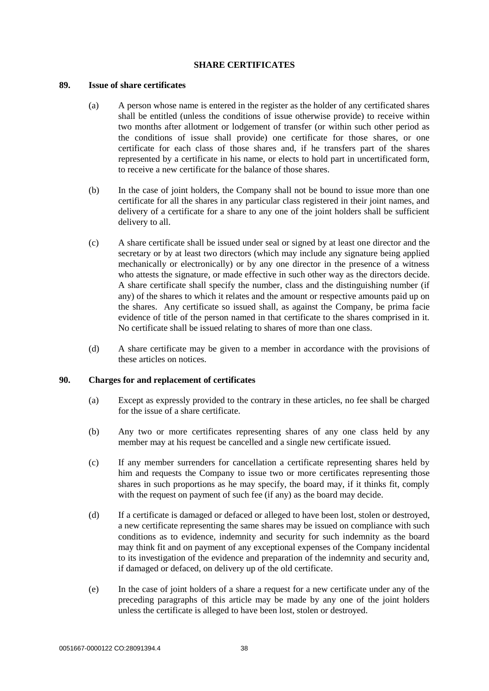#### **SHARE CERTIFICATES**

#### <span id="page-42-1"></span><span id="page-42-0"></span>**89. Issue of share certificates**

- (a) A person whose name is entered in the register as the holder of any certificated shares shall be entitled (unless the conditions of issue otherwise provide) to receive within two months after allotment or lodgement of transfer (or within such other period as the conditions of issue shall provide) one certificate for those shares, or one certificate for each class of those shares and, if he transfers part of the shares represented by a certificate in his name, or elects to hold part in uncertificated form, to receive a new certificate for the balance of those shares.
- (b) In the case of joint holders, the Company shall not be bound to issue more than one certificate for all the shares in any particular class registered in their joint names, and delivery of a certificate for a share to any one of the joint holders shall be sufficient delivery to all.
- (c) A share certificate shall be issued under seal or signed by at least one director and the secretary or by at least two directors (which may include any signature being applied mechanically or electronically) or by any one director in the presence of a witness who attests the signature, or made effective in such other way as the directors decide. A share certificate shall specify the number, class and the distinguishing number (if any) of the shares to which it relates and the amount or respective amounts paid up on the shares. Any certificate so issued shall, as against the Company, be prima facie evidence of title of the person named in that certificate to the shares comprised in it. No certificate shall be issued relating to shares of more than one class.
- (d) A share certificate may be given to a member in accordance with the provisions of these articles on notices.

## <span id="page-42-2"></span>**90. Charges for and replacement of certificates**

- (a) Except as expressly provided to the contrary in these articles, no fee shall be charged for the issue of a share certificate.
- (b) Any two or more certificates representing shares of any one class held by any member may at his request be cancelled and a single new certificate issued.
- (c) If any member surrenders for cancellation a certificate representing shares held by him and requests the Company to issue two or more certificates representing those shares in such proportions as he may specify, the board may, if it thinks fit, comply with the request on payment of such fee (if any) as the board may decide.
- (d) If a certificate is damaged or defaced or alleged to have been lost, stolen or destroyed, a new certificate representing the same shares may be issued on compliance with such conditions as to evidence, indemnity and security for such indemnity as the board may think fit and on payment of any exceptional expenses of the Company incidental to its investigation of the evidence and preparation of the indemnity and security and, if damaged or defaced, on delivery up of the old certificate.
- (e) In the case of joint holders of a share a request for a new certificate under any of the preceding paragraphs of this article may be made by any one of the joint holders unless the certificate is alleged to have been lost, stolen or destroyed.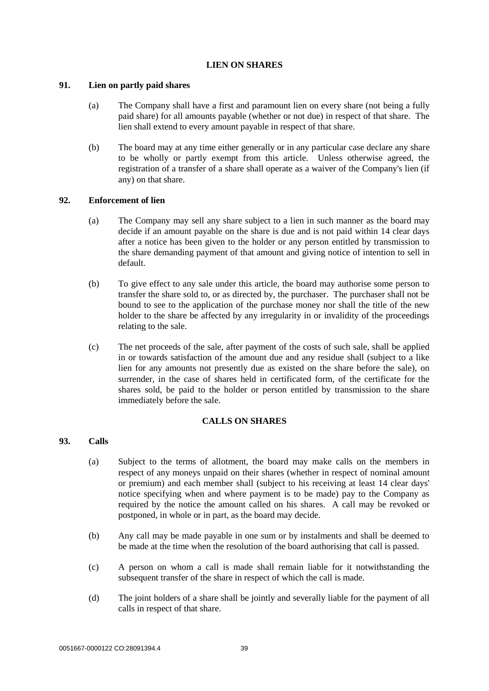## **LIEN ON SHARES**

## <span id="page-43-1"></span><span id="page-43-0"></span>**91. Lien on partly paid shares**

- (a) The Company shall have a first and paramount lien on every share (not being a fully paid share) for all amounts payable (whether or not due) in respect of that share. The lien shall extend to every amount payable in respect of that share.
- (b) The board may at any time either generally or in any particular case declare any share to be wholly or partly exempt from this article. Unless otherwise agreed, the registration of a transfer of a share shall operate as a waiver of the Company's lien (if any) on that share.

# <span id="page-43-2"></span>**92. Enforcement of lien**

- (a) The Company may sell any share subject to a lien in such manner as the board may decide if an amount payable on the share is due and is not paid within 14 clear days after a notice has been given to the holder or any person entitled by transmission to the share demanding payment of that amount and giving notice of intention to sell in default.
- (b) To give effect to any sale under this article, the board may authorise some person to transfer the share sold to, or as directed by, the purchaser. The purchaser shall not be bound to see to the application of the purchase money nor shall the title of the new holder to the share be affected by any irregularity in or invalidity of the proceedings relating to the sale.
- (c) The net proceeds of the sale, after payment of the costs of such sale, shall be applied in or towards satisfaction of the amount due and any residue shall (subject to a like lien for any amounts not presently due as existed on the share before the sale), on surrender, in the case of shares held in certificated form, of the certificate for the shares sold, be paid to the holder or person entitled by transmission to the share immediately before the sale.

## **CALLS ON SHARES**

# <span id="page-43-4"></span><span id="page-43-3"></span>**93. Calls**

- (a) Subject to the terms of allotment, the board may make calls on the members in respect of any moneys unpaid on their shares (whether in respect of nominal amount or premium) and each member shall (subject to his receiving at least 14 clear days' notice specifying when and where payment is to be made) pay to the Company as required by the notice the amount called on his shares. A call may be revoked or postponed, in whole or in part, as the board may decide.
- (b) Any call may be made payable in one sum or by instalments and shall be deemed to be made at the time when the resolution of the board authorising that call is passed.
- (c) A person on whom a call is made shall remain liable for it notwithstanding the subsequent transfer of the share in respect of which the call is made.
- (d) The joint holders of a share shall be jointly and severally liable for the payment of all calls in respect of that share.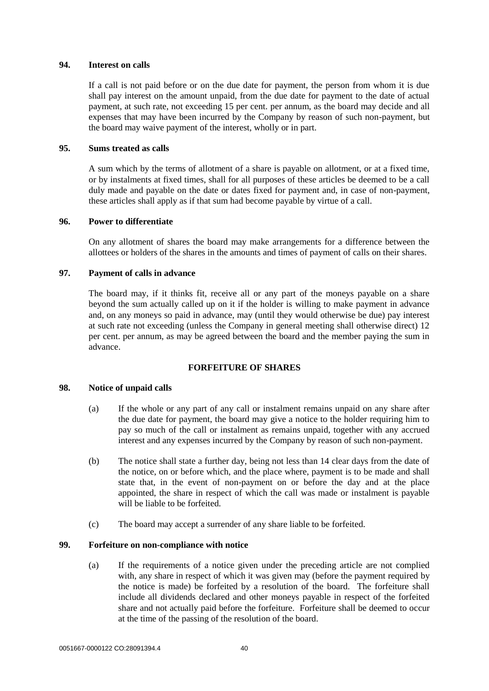#### <span id="page-44-0"></span>**94. Interest on calls**

If a call is not paid before or on the due date for payment, the person from whom it is due shall pay interest on the amount unpaid, from the due date for payment to the date of actual payment, at such rate, not exceeding 15 per cent. per annum, as the board may decide and all expenses that may have been incurred by the Company by reason of such non-payment, but the board may waive payment of the interest, wholly or in part.

#### <span id="page-44-1"></span>**95. Sums treated as calls**

A sum which by the terms of allotment of a share is payable on allotment, or at a fixed time, or by instalments at fixed times, shall for all purposes of these articles be deemed to be a call duly made and payable on the date or dates fixed for payment and, in case of non-payment, these articles shall apply as if that sum had become payable by virtue of a call.

#### <span id="page-44-2"></span>**96. Power to differentiate**

On any allotment of shares the board may make arrangements for a difference between the allottees or holders of the shares in the amounts and times of payment of calls on their shares.

#### <span id="page-44-3"></span>**97. Payment of calls in advance**

The board may, if it thinks fit, receive all or any part of the moneys payable on a share beyond the sum actually called up on it if the holder is willing to make payment in advance and, on any moneys so paid in advance, may (until they would otherwise be due) pay interest at such rate not exceeding (unless the Company in general meeting shall otherwise direct) 12 per cent. per annum, as may be agreed between the board and the member paying the sum in advance.

# **FORFEITURE OF SHARES**

## <span id="page-44-5"></span><span id="page-44-4"></span>**98. Notice of unpaid calls**

- (a) If the whole or any part of any call or instalment remains unpaid on any share after the due date for payment, the board may give a notice to the holder requiring him to pay so much of the call or instalment as remains unpaid, together with any accrued interest and any expenses incurred by the Company by reason of such non-payment.
- (b) The notice shall state a further day, being not less than 14 clear days from the date of the notice, on or before which, and the place where, payment is to be made and shall state that, in the event of non-payment on or before the day and at the place appointed, the share in respect of which the call was made or instalment is payable will be liable to be forfeited.
- (c) The board may accept a surrender of any share liable to be forfeited.

# <span id="page-44-6"></span>**99. Forfeiture on non-compliance with notice**

(a) If the requirements of a notice given under the preceding article are not complied with, any share in respect of which it was given may (before the payment required by the notice is made) be forfeited by a resolution of the board. The forfeiture shall include all dividends declared and other moneys payable in respect of the forfeited share and not actually paid before the forfeiture. Forfeiture shall be deemed to occur at the time of the passing of the resolution of the board.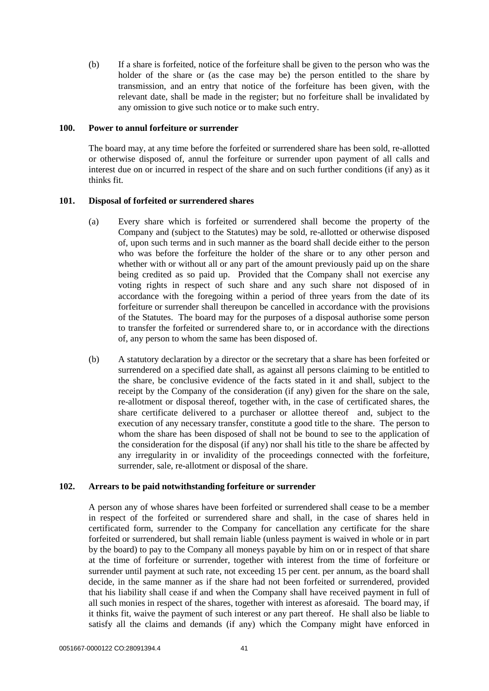(b) If a share is forfeited, notice of the forfeiture shall be given to the person who was the holder of the share or (as the case may be) the person entitled to the share by transmission, and an entry that notice of the forfeiture has been given, with the relevant date, shall be made in the register; but no forfeiture shall be invalidated by any omission to give such notice or to make such entry.

#### <span id="page-45-0"></span>**100. Power to annul forfeiture or surrender**

The board may, at any time before the forfeited or surrendered share has been sold, re-allotted or otherwise disposed of, annul the forfeiture or surrender upon payment of all calls and interest due on or incurred in respect of the share and on such further conditions (if any) as it thinks fit.

## <span id="page-45-1"></span>**101. Disposal of forfeited or surrendered shares**

- (a) Every share which is forfeited or surrendered shall become the property of the Company and (subject to the Statutes) may be sold, re-allotted or otherwise disposed of, upon such terms and in such manner as the board shall decide either to the person who was before the forfeiture the holder of the share or to any other person and whether with or without all or any part of the amount previously paid up on the share being credited as so paid up. Provided that the Company shall not exercise any voting rights in respect of such share and any such share not disposed of in accordance with the foregoing within a period of three years from the date of its forfeiture or surrender shall thereupon be cancelled in accordance with the provisions of the Statutes. The board may for the purposes of a disposal authorise some person to transfer the forfeited or surrendered share to, or in accordance with the directions of, any person to whom the same has been disposed of.
- (b) A statutory declaration by a director or the secretary that a share has been forfeited or surrendered on a specified date shall, as against all persons claiming to be entitled to the share, be conclusive evidence of the facts stated in it and shall, subject to the receipt by the Company of the consideration (if any) given for the share on the sale, re-allotment or disposal thereof, together with, in the case of certificated shares, the share certificate delivered to a purchaser or allottee thereof and, subject to the execution of any necessary transfer, constitute a good title to the share. The person to whom the share has been disposed of shall not be bound to see to the application of the consideration for the disposal (if any) nor shall his title to the share be affected by any irregularity in or invalidity of the proceedings connected with the forfeiture, surrender, sale, re-allotment or disposal of the share.

## <span id="page-45-2"></span>**102. Arrears to be paid notwithstanding forfeiture or surrender**

A person any of whose shares have been forfeited or surrendered shall cease to be a member in respect of the forfeited or surrendered share and shall, in the case of shares held in certificated form, surrender to the Company for cancellation any certificate for the share forfeited or surrendered, but shall remain liable (unless payment is waived in whole or in part by the board) to pay to the Company all moneys payable by him on or in respect of that share at the time of forfeiture or surrender, together with interest from the time of forfeiture or surrender until payment at such rate, not exceeding 15 per cent. per annum, as the board shall decide, in the same manner as if the share had not been forfeited or surrendered, provided that his liability shall cease if and when the Company shall have received payment in full of all such monies in respect of the shares, together with interest as aforesaid. The board may, if it thinks fit, waive the payment of such interest or any part thereof. He shall also be liable to satisfy all the claims and demands (if any) which the Company might have enforced in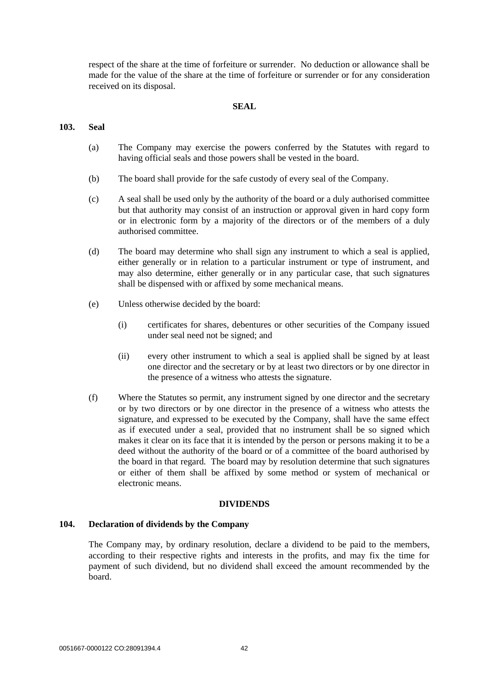respect of the share at the time of forfeiture or surrender. No deduction or allowance shall be made for the value of the share at the time of forfeiture or surrender or for any consideration received on its disposal.

#### **SEAL**

#### <span id="page-46-1"></span><span id="page-46-0"></span>**103. Seal**

- (a) The Company may exercise the powers conferred by the Statutes with regard to having official seals and those powers shall be vested in the board.
- (b) The board shall provide for the safe custody of every seal of the Company.
- (c) A seal shall be used only by the authority of the board or a duly authorised committee but that authority may consist of an instruction or approval given in hard copy form or in electronic form by a majority of the directors or of the members of a duly authorised committee.
- (d) The board may determine who shall sign any instrument to which a seal is applied, either generally or in relation to a particular instrument or type of instrument, and may also determine, either generally or in any particular case, that such signatures shall be dispensed with or affixed by some mechanical means.
- (e) Unless otherwise decided by the board:
	- (i) certificates for shares, debentures or other securities of the Company issued under seal need not be signed; and
	- (ii) every other instrument to which a seal is applied shall be signed by at least one director and the secretary or by at least two directors or by one director in the presence of a witness who attests the signature.
- (f) Where the Statutes so permit, any instrument signed by one director and the secretary or by two directors or by one director in the presence of a witness who attests the signature, and expressed to be executed by the Company, shall have the same effect as if executed under a seal, provided that no instrument shall be so signed which makes it clear on its face that it is intended by the person or persons making it to be a deed without the authority of the board or of a committee of the board authorised by the board in that regard. The board may by resolution determine that such signatures or either of them shall be affixed by some method or system of mechanical or electronic means.

#### **DIVIDENDS**

#### <span id="page-46-3"></span><span id="page-46-2"></span>**104. Declaration of dividends by the Company**

The Company may, by ordinary resolution, declare a dividend to be paid to the members, according to their respective rights and interests in the profits, and may fix the time for payment of such dividend, but no dividend shall exceed the amount recommended by the board.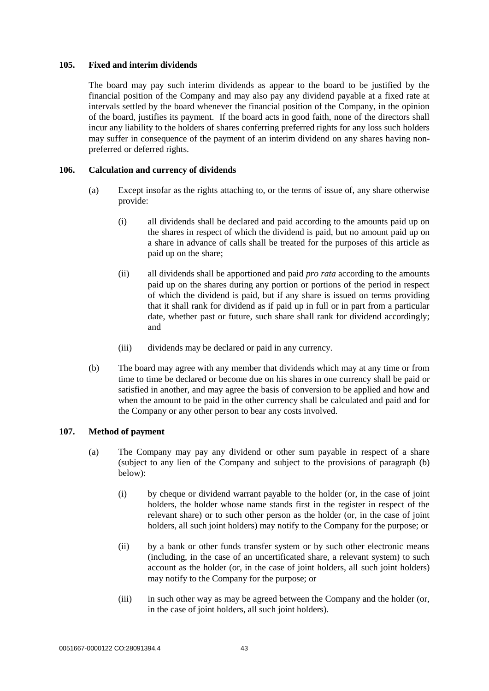#### <span id="page-47-0"></span>**105. Fixed and interim dividends**

The board may pay such interim dividends as appear to the board to be justified by the financial position of the Company and may also pay any dividend payable at a fixed rate at intervals settled by the board whenever the financial position of the Company, in the opinion of the board, justifies its payment. If the board acts in good faith, none of the directors shall incur any liability to the holders of shares conferring preferred rights for any loss such holders may suffer in consequence of the payment of an interim dividend on any shares having nonpreferred or deferred rights.

## <span id="page-47-1"></span>**106. Calculation and currency of dividends**

- (a) Except insofar as the rights attaching to, or the terms of issue of, any share otherwise provide:
	- (i) all dividends shall be declared and paid according to the amounts paid up on the shares in respect of which the dividend is paid, but no amount paid up on a share in advance of calls shall be treated for the purposes of this article as paid up on the share;
	- (ii) all dividends shall be apportioned and paid *pro rata* according to the amounts paid up on the shares during any portion or portions of the period in respect of which the dividend is paid, but if any share is issued on terms providing that it shall rank for dividend as if paid up in full or in part from a particular date, whether past or future, such share shall rank for dividend accordingly; and
	- (iii) dividends may be declared or paid in any currency.
- (b) The board may agree with any member that dividends which may at any time or from time to time be declared or become due on his shares in one currency shall be paid or satisfied in another, and may agree the basis of conversion to be applied and how and when the amount to be paid in the other currency shall be calculated and paid and for the Company or any other person to bear any costs involved.

## <span id="page-47-3"></span><span id="page-47-2"></span>**107. Method of payment**

- (a) The Company may pay any dividend or other sum payable in respect of a share (subject to any lien of the Company and subject to the provisions of paragraph [\(b\)](#page-48-0) below):
	- (i) by cheque or dividend warrant payable to the holder (or, in the case of joint holders, the holder whose name stands first in the register in respect of the relevant share) or to such other person as the holder (or, in the case of joint holders, all such joint holders) may notify to the Company for the purpose; or
	- (ii) by a bank or other funds transfer system or by such other electronic means (including, in the case of an uncertificated share, a relevant system) to such account as the holder (or, in the case of joint holders, all such joint holders) may notify to the Company for the purpose; or
	- (iii) in such other way as may be agreed between the Company and the holder (or, in the case of joint holders, all such joint holders).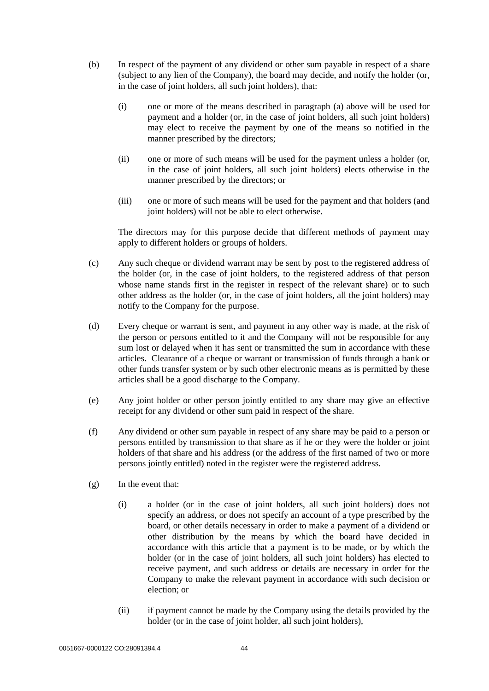- <span id="page-48-0"></span>(b) In respect of the payment of any dividend or other sum payable in respect of a share (subject to any lien of the Company), the board may decide, and notify the holder (or, in the case of joint holders, all such joint holders), that:
	- (i) one or more of the means described in paragraph [\(a\)](#page-47-3) above will be used for payment and a holder (or, in the case of joint holders, all such joint holders) may elect to receive the payment by one of the means so notified in the manner prescribed by the directors;
	- (ii) one or more of such means will be used for the payment unless a holder (or, in the case of joint holders, all such joint holders) elects otherwise in the manner prescribed by the directors; or
	- (iii) one or more of such means will be used for the payment and that holders (and joint holders) will not be able to elect otherwise.

The directors may for this purpose decide that different methods of payment may apply to different holders or groups of holders.

- (c) Any such cheque or dividend warrant may be sent by post to the registered address of the holder (or, in the case of joint holders, to the registered address of that person whose name stands first in the register in respect of the relevant share) or to such other address as the holder (or, in the case of joint holders, all the joint holders) may notify to the Company for the purpose.
- (d) Every cheque or warrant is sent, and payment in any other way is made, at the risk of the person or persons entitled to it and the Company will not be responsible for any sum lost or delayed when it has sent or transmitted the sum in accordance with these articles. Clearance of a cheque or warrant or transmission of funds through a bank or other funds transfer system or by such other electronic means as is permitted by these articles shall be a good discharge to the Company.
- (e) Any joint holder or other person jointly entitled to any share may give an effective receipt for any dividend or other sum paid in respect of the share.
- (f) Any dividend or other sum payable in respect of any share may be paid to a person or persons entitled by transmission to that share as if he or they were the holder or joint holders of that share and his address (or the address of the first named of two or more persons jointly entitled) noted in the register were the registered address.
- (g) In the event that:
	- (i) a holder (or in the case of joint holders, all such joint holders) does not specify an address, or does not specify an account of a type prescribed by the board, or other details necessary in order to make a payment of a dividend or other distribution by the means by which the board have decided in accordance with this article that a payment is to be made, or by which the holder (or in the case of joint holders, all such joint holders) has elected to receive payment, and such address or details are necessary in order for the Company to make the relevant payment in accordance with such decision or election; or
	- (ii) if payment cannot be made by the Company using the details provided by the holder (or in the case of joint holder, all such joint holders),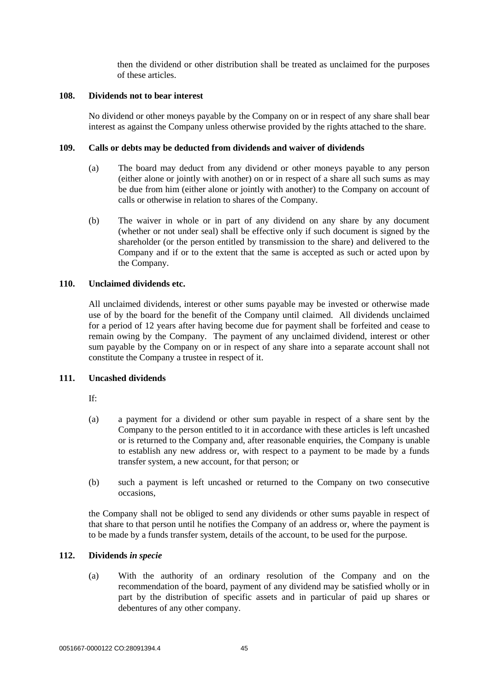then the dividend or other distribution shall be treated as unclaimed for the purposes of these articles.

# <span id="page-49-0"></span>**108. Dividends not to bear interest**

No dividend or other moneys payable by the Company on or in respect of any share shall bear interest as against the Company unless otherwise provided by the rights attached to the share.

#### <span id="page-49-1"></span>**109. Calls or debts may be deducted from dividends and waiver of dividends**

- (a) The board may deduct from any dividend or other moneys payable to any person (either alone or jointly with another) on or in respect of a share all such sums as may be due from him (either alone or jointly with another) to the Company on account of calls or otherwise in relation to shares of the Company.
- (b) The waiver in whole or in part of any dividend on any share by any document (whether or not under seal) shall be effective only if such document is signed by the shareholder (or the person entitled by transmission to the share) and delivered to the Company and if or to the extent that the same is accepted as such or acted upon by the Company.

## <span id="page-49-2"></span>**110. Unclaimed dividends etc.**

All unclaimed dividends, interest or other sums payable may be invested or otherwise made use of by the board for the benefit of the Company until claimed. All dividends unclaimed for a period of 12 years after having become due for payment shall be forfeited and cease to remain owing by the Company. The payment of any unclaimed dividend, interest or other sum payable by the Company on or in respect of any share into a separate account shall not constitute the Company a trustee in respect of it.

## <span id="page-49-3"></span>**111. Uncashed dividends**

If:

- (a) a payment for a dividend or other sum payable in respect of a share sent by the Company to the person entitled to it in accordance with these articles is left uncashed or is returned to the Company and, after reasonable enquiries, the Company is unable to establish any new address or, with respect to a payment to be made by a funds transfer system, a new account, for that person; or
- (b) such a payment is left uncashed or returned to the Company on two consecutive occasions,

the Company shall not be obliged to send any dividends or other sums payable in respect of that share to that person until he notifies the Company of an address or, where the payment is to be made by a funds transfer system, details of the account, to be used for the purpose.

# <span id="page-49-4"></span>**112. Dividends** *in specie*

(a) With the authority of an ordinary resolution of the Company and on the recommendation of the board, payment of any dividend may be satisfied wholly or in part by the distribution of specific assets and in particular of paid up shares or debentures of any other company.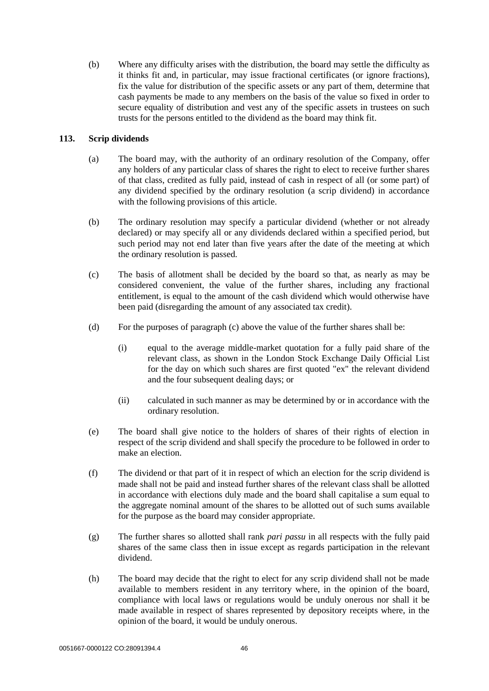(b) Where any difficulty arises with the distribution, the board may settle the difficulty as it thinks fit and, in particular, may issue fractional certificates (or ignore fractions), fix the value for distribution of the specific assets or any part of them, determine that cash payments be made to any members on the basis of the value so fixed in order to secure equality of distribution and vest any of the specific assets in trustees on such trusts for the persons entitled to the dividend as the board may think fit.

# <span id="page-50-0"></span>**113. Scrip dividends**

- (a) The board may, with the authority of an ordinary resolution of the Company, offer any holders of any particular class of shares the right to elect to receive further shares of that class, credited as fully paid, instead of cash in respect of all (or some part) of any dividend specified by the ordinary resolution (a scrip dividend) in accordance with the following provisions of this article.
- (b) The ordinary resolution may specify a particular dividend (whether or not already declared) or may specify all or any dividends declared within a specified period, but such period may not end later than five years after the date of the meeting at which the ordinary resolution is passed.
- <span id="page-50-1"></span>(c) The basis of allotment shall be decided by the board so that, as nearly as may be considered convenient, the value of the further shares, including any fractional entitlement, is equal to the amount of the cash dividend which would otherwise have been paid (disregarding the amount of any associated tax credit).
- (d) For the purposes of paragraph [\(c\) above](#page-50-1) the value of the further shares shall be:
	- (i) equal to the average middle-market quotation for a fully paid share of the relevant class, as shown in the London Stock Exchange Daily Official List for the day on which such shares are first quoted "ex" the relevant dividend and the four subsequent dealing days; or
	- (ii) calculated in such manner as may be determined by or in accordance with the ordinary resolution.
- (e) The board shall give notice to the holders of shares of their rights of election in respect of the scrip dividend and shall specify the procedure to be followed in order to make an election.
- (f) The dividend or that part of it in respect of which an election for the scrip dividend is made shall not be paid and instead further shares of the relevant class shall be allotted in accordance with elections duly made and the board shall capitalise a sum equal to the aggregate nominal amount of the shares to be allotted out of such sums available for the purpose as the board may consider appropriate.
- (g) The further shares so allotted shall rank *pari passu* in all respects with the fully paid shares of the same class then in issue except as regards participation in the relevant dividend.
- (h) The board may decide that the right to elect for any scrip dividend shall not be made available to members resident in any territory where, in the opinion of the board, compliance with local laws or regulations would be unduly onerous nor shall it be made available in respect of shares represented by depository receipts where, in the opinion of the board, it would be unduly onerous.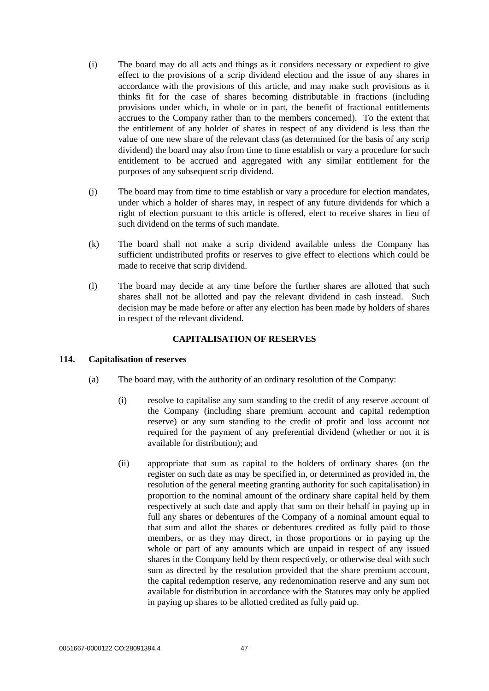- (i) The board may do all acts and things as it considers necessary or expedient to give effect to the provisions of a scrip dividend election and the issue of any shares in accordance with the provisions of this article, and may make such provisions as it thinks fit for the case of shares becoming distributable in fractions (including provisions under which, in whole or in part, the benefit of fractional entitlements accrues to the Company rather than to the members concerned). To the extent that the entitlement of any holder of shares in respect of any dividend is less than the value of one new share of the relevant class (as determined for the basis of any scrip dividend) the board may also from time to time establish or vary a procedure for such entitlement to be accrued and aggregated with any similar entitlement for the purposes of any subsequent scrip dividend.
- (j) The board may from time to time establish or vary a procedure for election mandates, under which a holder of shares may, in respect of any future dividends for which a right of election pursuant to this article is offered, elect to receive shares in lieu of such dividend on the terms of such mandate.
- (k) The board shall not make a scrip dividend available unless the Company has sufficient undistributed profits or reserves to give effect to elections which could be made to receive that scrip dividend.
- (l) The board may decide at any time before the further shares are allotted that such shares shall not be allotted and pay the relevant dividend in cash instead. Such decision may be made before or after any election has been made by holders of shares in respect of the relevant dividend.

## **CAPITALISATION OF RESERVES**

## <span id="page-51-1"></span><span id="page-51-0"></span>**114. Capitalisation of reserves**

- (a) The board may, with the authority of an ordinary resolution of the Company:
	- (i) resolve to capitalise any sum standing to the credit of any reserve account of the Company (including share premium account and capital redemption reserve) or any sum standing to the credit of profit and loss account not required for the payment of any preferential dividend (whether or not it is available for distribution); and
	- (ii) appropriate that sum as capital to the holders of ordinary shares (on the register on such date as may be specified in, or determined as provided in, the resolution of the general meeting granting authority for such capitalisation) in proportion to the nominal amount of the ordinary share capital held by them respectively at such date and apply that sum on their behalf in paying up in full any shares or debentures of the Company of a nominal amount equal to that sum and allot the shares or debentures credited as fully paid to those members, or as they may direct, in those proportions or in paying up the whole or part of any amounts which are unpaid in respect of any issued shares in the Company held by them respectively, or otherwise deal with such sum as directed by the resolution provided that the share premium account, the capital redemption reserve, any redenomination reserve and any sum not available for distribution in accordance with the Statutes may only be applied in paying up shares to be allotted credited as fully paid up.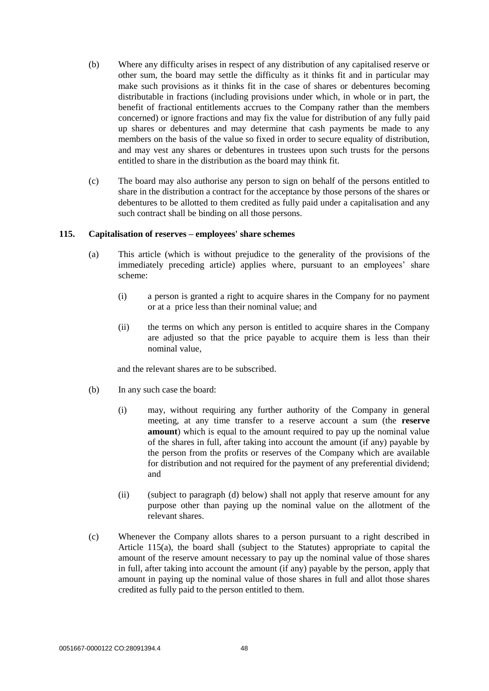- (b) Where any difficulty arises in respect of any distribution of any capitalised reserve or other sum, the board may settle the difficulty as it thinks fit and in particular may make such provisions as it thinks fit in the case of shares or debentures becoming distributable in fractions (including provisions under which, in whole or in part, the benefit of fractional entitlements accrues to the Company rather than the members concerned) or ignore fractions and may fix the value for distribution of any fully paid up shares or debentures and may determine that cash payments be made to any members on the basis of the value so fixed in order to secure equality of distribution, and may vest any shares or debentures in trustees upon such trusts for the persons entitled to share in the distribution as the board may think fit.
- (c) The board may also authorise any person to sign on behalf of the persons entitled to share in the distribution a contract for the acceptance by those persons of the shares or debentures to be allotted to them credited as fully paid under a capitalisation and any such contract shall be binding on all those persons.

#### <span id="page-52-0"></span>**115. Capitalisation of reserves – employees' share schemes**

- (a) This article (which is without prejudice to the generality of the provisions of the immediately preceding article) applies where, pursuant to an employees' share scheme:
	- (i) a person is granted a right to acquire shares in the Company for no payment or at a price less than their nominal value; and
	- (ii) the terms on which any person is entitled to acquire shares in the Company are adjusted so that the price payable to acquire them is less than their nominal value,

and the relevant shares are to be subscribed.

- (b) In any such case the board:
	- (i) may, without requiring any further authority of the Company in general meeting, at any time transfer to a reserve account a sum (the **reserve amount**) which is equal to the amount required to pay up the nominal value of the shares in full, after taking into account the amount (if any) payable by the person from the profits or reserves of the Company which are available for distribution and not required for the payment of any preferential dividend; and
	- (ii) (subject to paragraph [\(d\) below\)](#page-53-6) shall not apply that reserve amount for any purpose other than paying up the nominal value on the allotment of the relevant shares.
- (c) Whenever the Company allots shares to a person pursuant to a right described in Article 115(a), the board shall (subject to the Statutes) appropriate to capital the amount of the reserve amount necessary to pay up the nominal value of those shares in full, after taking into account the amount (if any) payable by the person, apply that amount in paying up the nominal value of those shares in full and allot those shares credited as fully paid to the person entitled to them.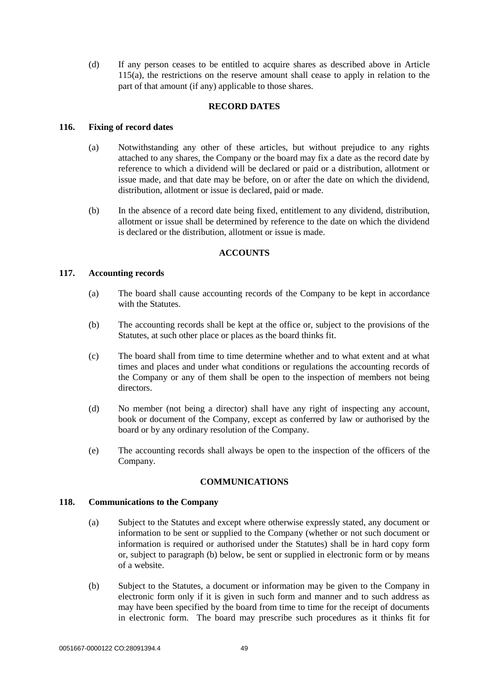<span id="page-53-6"></span>(d) If any person ceases to be entitled to acquire shares as described above in Article 115(a), the restrictions on the reserve amount shall cease to apply in relation to the part of that amount (if any) applicable to those shares.

## **RECORD DATES**

#### <span id="page-53-1"></span><span id="page-53-0"></span>**116. Fixing of record dates**

- (a) Notwithstanding any other of these articles, but without prejudice to any rights attached to any shares, the Company or the board may fix a date as the record date by reference to which a dividend will be declared or paid or a distribution, allotment or issue made, and that date may be before, on or after the date on which the dividend, distribution, allotment or issue is declared, paid or made.
- (b) In the absence of a record date being fixed, entitlement to any dividend, distribution, allotment or issue shall be determined by reference to the date on which the dividend is declared or the distribution, allotment or issue is made.

#### **ACCOUNTS**

#### <span id="page-53-3"></span><span id="page-53-2"></span>**117. Accounting records**

- (a) The board shall cause accounting records of the Company to be kept in accordance with the Statutes.
- (b) The accounting records shall be kept at the office or, subject to the provisions of the Statutes, at such other place or places as the board thinks fit.
- (c) The board shall from time to time determine whether and to what extent and at what times and places and under what conditions or regulations the accounting records of the Company or any of them shall be open to the inspection of members not being directors.
- (d) No member (not being a director) shall have any right of inspecting any account, book or document of the Company, except as conferred by law or authorised by the board or by any ordinary resolution of the Company.
- (e) The accounting records shall always be open to the inspection of the officers of the Company.

## **COMMUNICATIONS**

#### <span id="page-53-5"></span><span id="page-53-4"></span>**118. Communications to the Company**

- (a) Subject to the Statutes and except where otherwise expressly stated, any document or information to be sent or supplied to the Company (whether or not such document or information is required or authorised under the Statutes) shall be in hard copy form or, subject to paragraph [\(b\)](#page-53-7) below, be sent or supplied in electronic form or by means of a website.
- <span id="page-53-7"></span>(b) Subject to the Statutes, a document or information may be given to the Company in electronic form only if it is given in such form and manner and to such address as may have been specified by the board from time to time for the receipt of documents in electronic form. The board may prescribe such procedures as it thinks fit for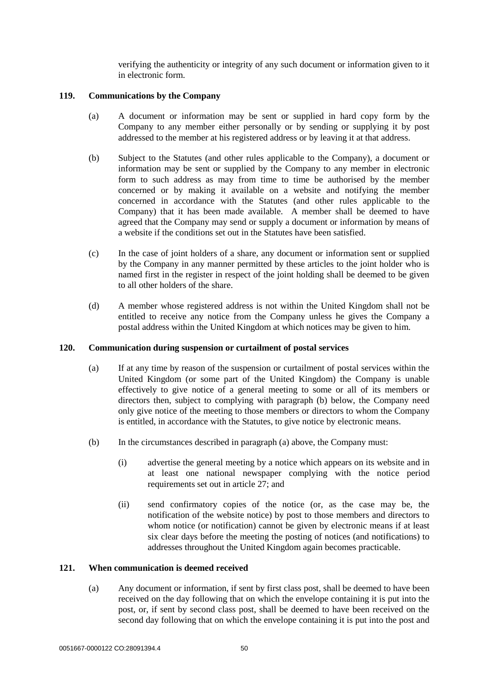verifying the authenticity or integrity of any such document or information given to it in electronic form.

## <span id="page-54-0"></span>**119. Communications by the Company**

- (a) A document or information may be sent or supplied in hard copy form by the Company to any member either personally or by sending or supplying it by post addressed to the member at his registered address or by leaving it at that address.
- (b) Subject to the Statutes (and other rules applicable to the Company), a document or information may be sent or supplied by the Company to any member in electronic form to such address as may from time to time be authorised by the member concerned or by making it available on a website and notifying the member concerned in accordance with the Statutes (and other rules applicable to the Company) that it has been made available. A member shall be deemed to have agreed that the Company may send or supply a document or information by means of a website if the conditions set out in the Statutes have been satisfied.
- (c) In the case of joint holders of a share, any document or information sent or supplied by the Company in any manner permitted by these articles to the joint holder who is named first in the register in respect of the joint holding shall be deemed to be given to all other holders of the share.
- (d) A member whose registered address is not within the United Kingdom shall not be entitled to receive any notice from the Company unless he gives the Company a postal address within the United Kingdom at which notices may be given to him.

#### <span id="page-54-1"></span>**120. Communication during suspension or curtailment of postal services**

- (a) If at any time by reason of the suspension or curtailment of postal services within the United Kingdom (or some part of the United Kingdom) the Company is unable effectively to give notice of a general meeting to some or all of its members or directors then, subject to complying with paragraph (b) below, the Company need only give notice of the meeting to those members or directors to whom the Company is entitled, in accordance with the Statutes, to give notice by electronic means.
- <span id="page-54-4"></span><span id="page-54-3"></span>(b) In the circumstances described in paragraph (a) above, the Company must:
	- (i) advertise the general meeting by a notice which appears on its website and in at least one national newspaper complying with the notice period requirements set out in article [27;](#page-17-7) and
	- (ii) send confirmatory copies of the notice (or, as the case may be, the notification of the website notice) by post to those members and directors to whom notice (or notification) cannot be given by electronic means if at least six clear days before the meeting the posting of notices (and notifications) to addresses throughout the United Kingdom again becomes practicable.

#### <span id="page-54-2"></span>**121. When communication is deemed received**

(a) Any document or information, if sent by first class post, shall be deemed to have been received on the day following that on which the envelope containing it is put into the post, or, if sent by second class post, shall be deemed to have been received on the second day following that on which the envelope containing it is put into the post and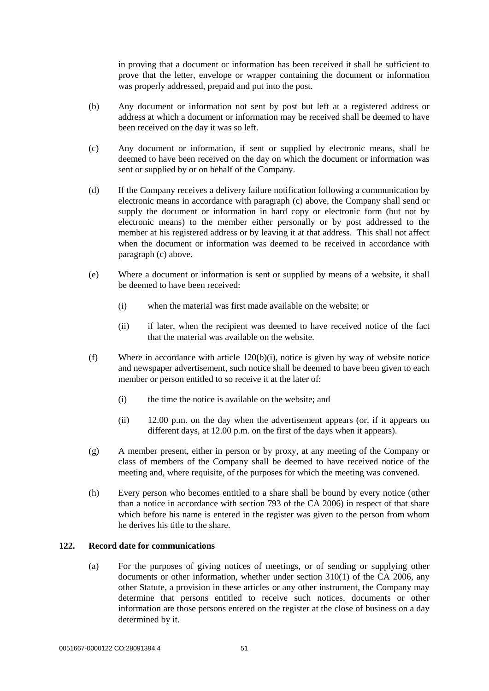in proving that a document or information has been received it shall be sufficient to prove that the letter, envelope or wrapper containing the document or information was properly addressed, prepaid and put into the post.

- (b) Any document or information not sent by post but left at a registered address or address at which a document or information may be received shall be deemed to have been received on the day it was so left.
- <span id="page-55-1"></span>(c) Any document or information, if sent or supplied by electronic means, shall be deemed to have been received on the day on which the document or information was sent or supplied by or on behalf of the Company.
- (d) If the Company receives a delivery failure notification following a communication by electronic means in accordance with paragraph [\(c\)](#page-55-1) above, the Company shall send or supply the document or information in hard copy or electronic form (but not by electronic means) to the member either personally or by post addressed to the member at his registered address or by leaving it at that address. This shall not affect when the document or information was deemed to be received in accordance with paragrap[h \(c\)](#page-55-1) above.
- (e) Where a document or information is sent or supplied by means of a website, it shall be deemed to have been received:
	- (i) when the material was first made available on the website; or
	- (ii) if later, when the recipient was deemed to have received notice of the fact that the material was available on the website.
- (f) Where in accordance with article [120\(b\)\(i\),](#page-54-4) notice is given by way of website notice and newspaper advertisement, such notice shall be deemed to have been given to each member or person entitled to so receive it at the later of:
	- (i) the time the notice is available on the website; and
	- (ii) 12.00 p.m. on the day when the advertisement appears (or, if it appears on different days, at 12.00 p.m. on the first of the days when it appears).
- (g) A member present, either in person or by proxy, at any meeting of the Company or class of members of the Company shall be deemed to have received notice of the meeting and, where requisite, of the purposes for which the meeting was convened.
- (h) Every person who becomes entitled to a share shall be bound by every notice (other than a notice in accordance with section 793 of the CA 2006) in respect of that share which before his name is entered in the register was given to the person from whom he derives his title to the share.

## <span id="page-55-2"></span><span id="page-55-0"></span>**122. Record date for communications**

(a) For the purposes of giving notices of meetings, or of sending or supplying other documents or other information, whether under section 310(1) of the CA 2006, any other Statute, a provision in these articles or any other instrument, the Company may determine that persons entitled to receive such notices, documents or other information are those persons entered on the register at the close of business on a day determined by it.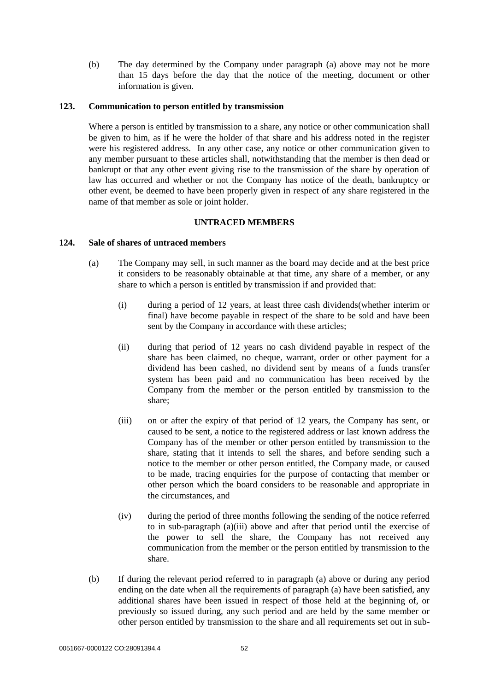(b) The day determined by the Company under paragraph [\(a\) above](#page-55-2) may not be more than 15 days before the day that the notice of the meeting, document or other information is given.

#### <span id="page-56-0"></span>**123. Communication to person entitled by transmission**

Where a person is entitled by transmission to a share, any notice or other communication shall be given to him, as if he were the holder of that share and his address noted in the register were his registered address. In any other case, any notice or other communication given to any member pursuant to these articles shall, notwithstanding that the member is then dead or bankrupt or that any other event giving rise to the transmission of the share by operation of law has occurred and whether or not the Company has notice of the death, bankruptcy or other event, be deemed to have been properly given in respect of any share registered in the name of that member as sole or joint holder.

#### **UNTRACED MEMBERS**

## <span id="page-56-2"></span><span id="page-56-1"></span>**124. Sale of shares of untraced members**

- (a) The Company may sell, in such manner as the board may decide and at the best price it considers to be reasonably obtainable at that time, any share of a member, or any share to which a person is entitled by transmission if and provided that:
	- (i) during a period of 12 years, at least three cash dividends(whether interim or final) have become payable in respect of the share to be sold and have been sent by the Company in accordance with these articles;
	- (ii) during that period of 12 years no cash dividend payable in respect of the share has been claimed, no cheque, warrant, order or other payment for a dividend has been cashed, no dividend sent by means of a funds transfer system has been paid and no communication has been received by the Company from the member or the person entitled by transmission to the share;
	- (iii) on or after the expiry of that period of 12 years, the Company has sent, or caused to be sent, a notice to the registered address or last known address the Company has of the member or other person entitled by transmission to the share, stating that it intends to sell the shares, and before sending such a notice to the member or other person entitled, the Company made, or caused to be made, tracing enquiries for the purpose of contacting that member or other person which the board considers to be reasonable and appropriate in the circumstances, and
	- (iv) during the period of three months following the sending of the notice referred to in sub-paragraph (a)(iii) above and after that period until the exercise of the power to sell the share, the Company has not received any communication from the member or the person entitled by transmission to the share.
- (b) If during the relevant period referred to in paragraph (a) above or during any period ending on the date when all the requirements of paragraph (a) have been satisfied, any additional shares have been issued in respect of those held at the beginning of, or previously so issued during, any such period and are held by the same member or other person entitled by transmission to the share and all requirements set out in sub-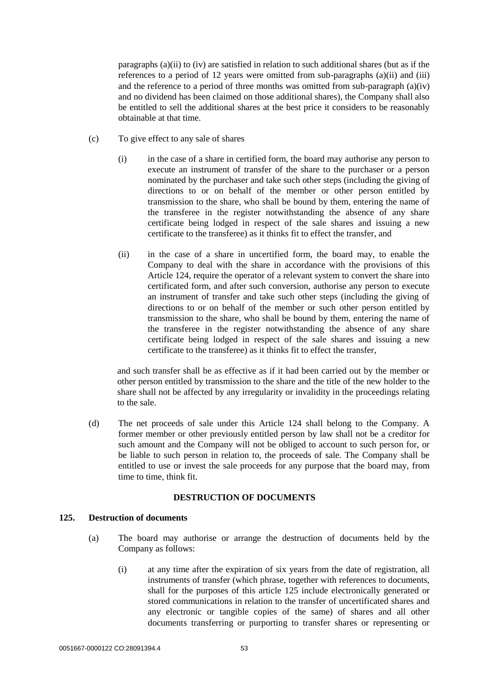paragraphs  $(a)(ii)$  to (iv) are satisfied in relation to such additional shares (but as if the references to a period of 12 years were omitted from sub-paragraphs  $(a)(ii)$  and  $(iii)$ and the reference to a period of three months was omitted from sub-paragraph (a)(iv) and no dividend has been claimed on those additional shares), the Company shall also be entitled to sell the additional shares at the best price it considers to be reasonably obtainable at that time.

- (c) To give effect to any sale of shares
	- (i) in the case of a share in certified form, the board may authorise any person to execute an instrument of transfer of the share to the purchaser or a person nominated by the purchaser and take such other steps (including the giving of directions to or on behalf of the member or other person entitled by transmission to the share, who shall be bound by them, entering the name of the transferee in the register notwithstanding the absence of any share certificate being lodged in respect of the sale shares and issuing a new certificate to the transferee) as it thinks fit to effect the transfer, and
	- (ii) in the case of a share in uncertified form, the board may, to enable the Company to deal with the share in accordance with the provisions of this Article 124, require the operator of a relevant system to convert the share into certificated form, and after such conversion, authorise any person to execute an instrument of transfer and take such other steps (including the giving of directions to or on behalf of the member or such other person entitled by transmission to the share, who shall be bound by them, entering the name of the transferee in the register notwithstanding the absence of any share certificate being lodged in respect of the sale shares and issuing a new certificate to the transferee) as it thinks fit to effect the transfer,

and such transfer shall be as effective as if it had been carried out by the member or other person entitled by transmission to the share and the title of the new holder to the share shall not be affected by any irregularity or invalidity in the proceedings relating to the sale.

(d) The net proceeds of sale under this Article 124 shall belong to the Company. A former member or other previously entitled person by law shall not be a creditor for such amount and the Company will not be obliged to account to such person for, or be liable to such person in relation to, the proceeds of sale. The Company shall be entitled to use or invest the sale proceeds for any purpose that the board may, from time to time, think fit.

## **DESTRUCTION OF DOCUMENTS**

# <span id="page-57-3"></span><span id="page-57-2"></span><span id="page-57-1"></span><span id="page-57-0"></span>**125. Destruction of documents**

- (a) The board may authorise or arrange the destruction of documents held by the Company as follows:
	- (i) at any time after the expiration of six years from the date of registration, all instruments of transfer (which phrase, together with references to documents, shall for the purposes of this article [125](#page-57-2) include electronically generated or stored communications in relation to the transfer of uncertificated shares and any electronic or tangible copies of the same) of shares and all other documents transferring or purporting to transfer shares or representing or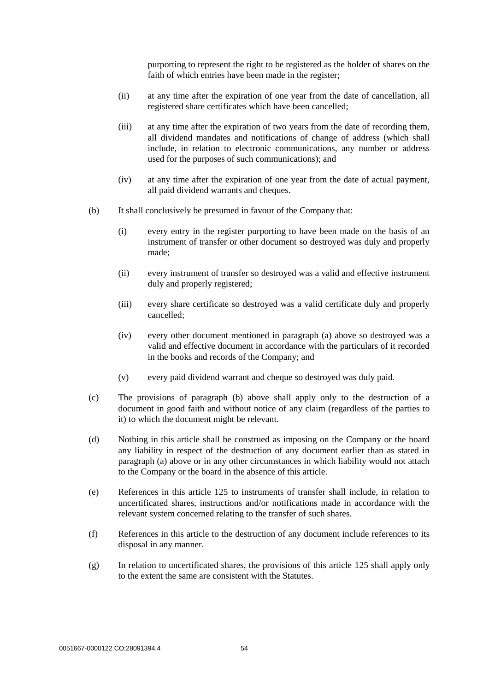purporting to represent the right to be registered as the holder of shares on the faith of which entries have been made in the register;

- (ii) at any time after the expiration of one year from the date of cancellation, all registered share certificates which have been cancelled;
- (iii) at any time after the expiration of two years from the date of recording them, all dividend mandates and notifications of change of address (which shall include, in relation to electronic communications, any number or address used for the purposes of such communications); and
- (iv) at any time after the expiration of one year from the date of actual payment, all paid dividend warrants and cheques.
- <span id="page-58-0"></span>(b) It shall conclusively be presumed in favour of the Company that:
	- (i) every entry in the register purporting to have been made on the basis of an instrument of transfer or other document so destroyed was duly and properly made;
	- (ii) every instrument of transfer so destroyed was a valid and effective instrument duly and properly registered;
	- (iii) every share certificate so destroyed was a valid certificate duly and properly cancelled;
	- (iv) every other document mentioned in paragraph [\(a\) above](#page-57-3) so destroyed was a valid and effective document in accordance with the particulars of it recorded in the books and records of the Company; and
	- (v) every paid dividend warrant and cheque so destroyed was duly paid.
- (c) The provisions of paragraph [\(b\) above](#page-58-0) shall apply only to the destruction of a document in good faith and without notice of any claim (regardless of the parties to it) to which the document might be relevant.
- (d) Nothing in this article shall be construed as imposing on the Company or the board any liability in respect of the destruction of any document earlier than as stated in paragraph [\(a\) above](#page-57-3) or in any other circumstances in which liability would not attach to the Company or the board in the absence of this article.
- (e) References in this article [125](#page-57-2) to instruments of transfer shall include, in relation to uncertificated shares, instructions and/or notifications made in accordance with the relevant system concerned relating to the transfer of such shares.
- (f) References in this article to the destruction of any document include references to its disposal in any manner.
- (g) In relation to uncertificated shares, the provisions of this article [125](#page-57-2) shall apply only to the extent the same are consistent with the Statutes.